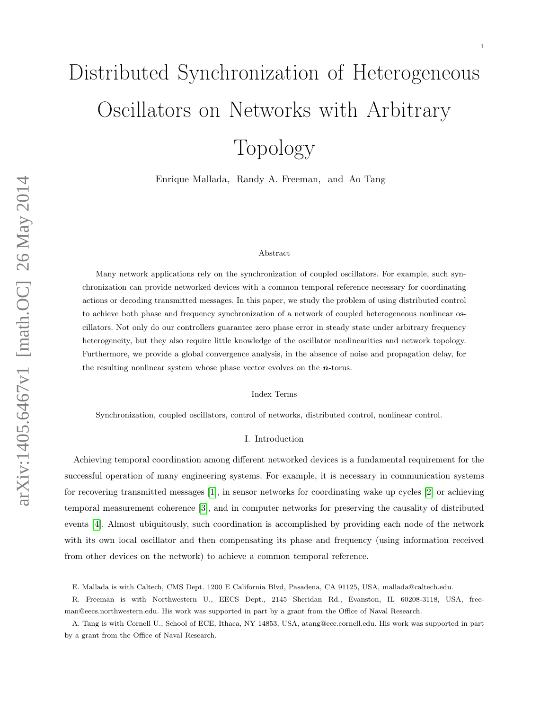# Distributed Synchronization of Heterogeneous Oscillators on Networks with Arbitrary Topology

Enrique Mallada, Randy A. Freeman, and Ao Tang

#### Abstract

Many network applications rely on the synchronization of coupled oscillators. For example, such synchronization can provide networked devices with a common temporal reference necessary for coordinating actions or decoding transmitted messages. In this paper, we study the problem of using distributed control to achieve both phase and frequency synchronization of a network of coupled heterogeneous nonlinear oscillators. Not only do our controllers guarantee zero phase error in steady state under arbitrary frequency heterogeneity, but they also require little knowledge of the oscillator nonlinearities and network topology. Furthermore, we provide a global convergence analysis, in the absence of noise and propagation delay, for the resulting nonlinear system whose phase vector evolves on the  $n$ -torus.

Index Terms

Synchronization, coupled oscillators, control of networks, distributed control, nonlinear control.

## I. Introduction

Achieving temporal coordination among different networked devices is a fundamental requirement for the successful operation of many engineering systems. For example, it is necessary in communication systems for recovering transmitted messages [\[1\]](#page-24-0), in sensor networks for coordinating wake up cycles [\[2\]](#page-24-1) or achieving temporal measurement coherence [\[3\]](#page-24-2), and in computer networks for preserving the causality of distributed events [\[4\]](#page-24-3). Almost ubiquitously, such coordination is accomplished by providing each node of the network with its own local oscillator and then compensating its phase and frequency (using information received from other devices on the network) to achieve a common temporal reference.

E. Mallada is with Caltech, CMS Dept. 1200 E California Blvd, Pasadena, CA 91125, USA, mallada@caltech.edu.

R. Freeman is with Northwestern U., EECS Dept., 2145 Sheridan Rd., Evanston, IL 60208-3118, USA, freeman@eecs.northwestern.edu. His work was supported in part by a grant from the Office of Naval Research.

A. Tang is with Cornell U., School of ECE, Ithaca, NY 14853, USA, atang@ece.cornell.edu. His work was supported in part by a grant from the Office of Naval Research.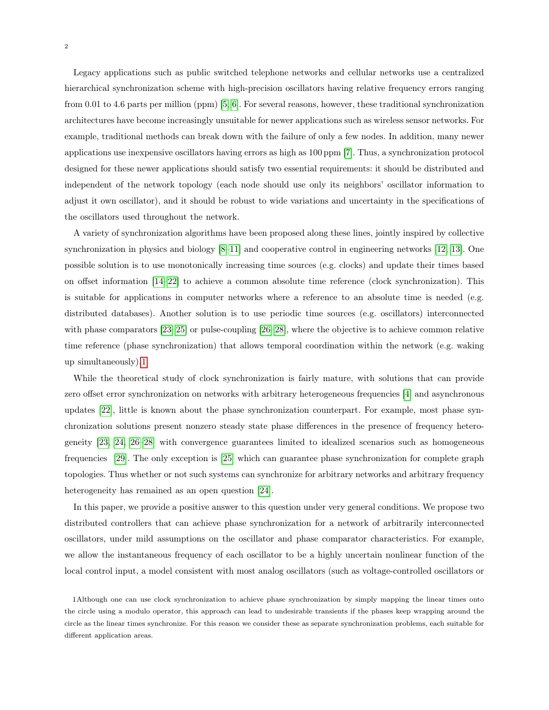Legacy applications such as public switched telephone networks and cellular networks use a centralized hierarchical synchronization scheme with high-precision oscillators having relative frequency errors ranging from 0.01 to 4.6 parts per million (ppm) [\[5,](#page-24-4) [6\]](#page-24-5). For several reasons, however, these traditional synchronization architectures have become increasingly unsuitable for newer applications such as wireless sensor networks. For example, traditional methods can break down with the failure of only a few nodes. In addition, many newer applications use inexpensive oscillators having errors as high as 100 ppm [\[7\]](#page-24-6). Thus, a synchronization protocol designed for these newer applications should satisfy two essential requirements: it should be distributed and independent of the network topology (each node should use only its neighbors' oscillator information to adjust it own oscillator), and it should be robust to wide variations and uncertainty in the specifications of the oscillators used throughout the network.

A variety of synchronization algorithms have been proposed along these lines, jointly inspired by collective synchronization in physics and biology [\[8](#page-24-7)[–11\]](#page-25-0) and cooperative control in engineering networks [\[12,](#page-25-1) [13\]](#page-25-2). One possible solution is to use monotonically increasing time sources (e.g. clocks) and update their times based on offset information [\[14](#page-25-3)[–22\]](#page-25-4) to achieve a common absolute time reference (clock synchronization). This is suitable for applications in computer networks where a reference to an absolute time is needed (e.g. distributed databases). Another solution is to use periodic time sources (e.g. oscillators) interconnected with phase comparators [\[23](#page-25-5)[–25\]](#page-26-0) or pulse-coupling [\[26–](#page-26-1)[28\]](#page-26-2), where the objective is to achieve common relative time reference (phase synchronization) that allows temporal coordination within the network (e.g. waking up simultaneously)[.1](#page-1-0)

While the theoretical study of clock synchronization is fairly mature, with solutions that can provide zero offset error synchronization on networks with arbitrary heterogeneous frequencies [\[4\]](#page-24-3) and asynchronous updates [\[22\]](#page-25-4), little is known about the phase synchronization counterpart. For example, most phase synchronization solutions present nonzero steady state phase differences in the presence of frequency heterogeneity [\[23,](#page-25-5) [24,](#page-26-3) [26–](#page-26-1)[28\]](#page-26-2) with convergence guarantees limited to idealized scenarios such as homogeneous frequencies [\[29\]](#page-26-4). The only exception is [\[25\]](#page-26-0) which can guarantee phase synchronization for complete graph topologies. Thus whether or not such systems can synchronize for arbitrary networks and arbitrary frequency heterogeneity has remained as an open question [\[24\]](#page-26-3).

In this paper, we provide a positive answer to this question under very general conditions. We propose two distributed controllers that can achieve phase synchronization for a network of arbitrarily interconnected oscillators, under mild assumptions on the oscillator and phase comparator characteristics. For example, we allow the instantaneous frequency of each oscillator to be a highly uncertain nonlinear function of the local control input, a model consistent with most analog oscillators (such as voltage-controlled oscillators or

<span id="page-1-0"></span>1Although one can use clock synchronization to achieve phase synchronization by simply mapping the linear times onto the circle using a modulo operator, this approach can lead to undesirable transients if the phases keep wrapping around the circle as the linear times synchronize. For this reason we consider these as separate synchronization problems, each suitable for different application areas.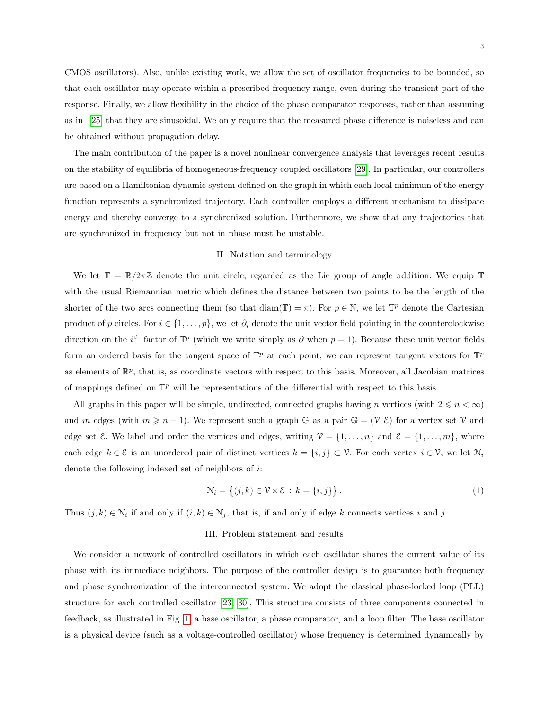CMOS oscillators). Also, unlike existing work, we allow the set of oscillator frequencies to be bounded, so that each oscillator may operate within a prescribed frequency range, even during the transient part of the response. Finally, we allow flexibility in the choice of the phase comparator responses, rather than assuming as in [\[25\]](#page-26-0) that they are sinusoidal. We only require that the measured phase difference is noiseless and can be obtained without propagation delay.

The main contribution of the paper is a novel nonlinear convergence analysis that leverages recent results on the stability of equilibria of homogeneous-frequency coupled oscillators [\[29\]](#page-26-4). In particular, our controllers are based on a Hamiltonian dynamic system defined on the graph in which each local minimum of the energy function represents a synchronized trajectory. Each controller employs a different mechanism to dissipate energy and thereby converge to a synchronized solution. Furthermore, we show that any trajectories that are synchronized in frequency but not in phase must be unstable.

#### II. Notation and terminology

We let  $\mathbb{T} = \mathbb{R}/2\pi\mathbb{Z}$  denote the unit circle, regarded as the Lie group of angle addition. We equip  $\mathbb{T}$ with the usual Riemannian metric which defines the distance between two points to be the length of the shorter of the two arcs connecting them (so that diam( $\mathbb{T}$ ) =  $\pi$ ). For  $p \in \mathbb{N}$ , we let  $\mathbb{T}^p$  denote the Cartesian product of p circles. For  $i \in \{1, \ldots, p\}$ , we let  $\partial_i$  denote the unit vector field pointing in the counterclockwise direction on the i<sup>th</sup> factor of  $\mathbb{T}^p$  (which we write simply as  $\partial$  when  $p = 1$ ). Because these unit vector fields form an ordered basis for the tangent space of  $\mathbb{T}^p$  at each point, we can represent tangent vectors for  $\mathbb{T}^p$ as elements of  $\mathbb{R}^p$ , that is, as coordinate vectors with respect to this basis. Moreover, all Jacobian matrices of mappings defined on  $\mathbb{T}^p$  will be representations of the differential with respect to this basis.

All graphs in this paper will be simple, undirected, connected graphs having n vertices (with  $2 \leq n < \infty$ ) and m edges (with  $m \geq n-1$ ). We represent such a graph G as a pair  $\mathbb{G} = (\mathcal{V}, \mathcal{E})$  for a vertex set  $\mathcal{V}$  and edge set  $\mathcal{E}$ . We label and order the vertices and edges, writing  $\mathcal{V} = \{1, \ldots, n\}$  and  $\mathcal{E} = \{1, \ldots, m\}$ , where each edge  $k \in \mathcal{E}$  is an unordered pair of distinct vertices  $k = \{i, j\} \subset \mathcal{V}$ . For each vertex  $i \in \mathcal{V}$ , we let  $\mathcal{N}_i$ denote the following indexed set of neighbors of i:

$$
\mathcal{N}_i = \left\{ (j,k) \in \mathcal{V} \times \mathcal{E} \, : \, k = \{i,j\} \right\}. \tag{1}
$$

Thus  $(j, k) \in \mathcal{N}_i$  if and only if  $(i, k) \in \mathcal{N}_j$ , that is, if and only if edge k connects vertices i and j.

#### III. Problem statement and results

We consider a network of controlled oscillators in which each oscillator shares the current value of its phase with its immediate neighbors. The purpose of the controller design is to guarantee both frequency and phase synchronization of the interconnected system. We adopt the classical phase-locked loop (PLL) structure for each controlled oscillator [\[23,](#page-25-5) [30\]](#page-26-5). This structure consists of three components connected in feedback, as illustrated in Fig. [1:](#page-3-0) a base oscillator, a phase comparator, and a loop filter. The base oscillator is a physical device (such as a voltage-controlled oscillator) whose frequency is determined dynamically by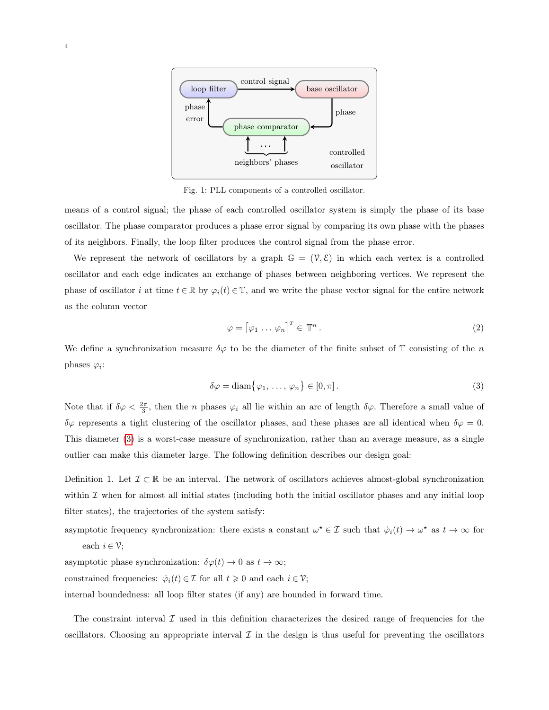<span id="page-3-0"></span>

Fig. 1: PLL components of a controlled oscillator.

means of a control signal; the phase of each controlled oscillator system is simply the phase of its base oscillator. The phase comparator produces a phase error signal by comparing its own phase with the phases of its neighbors. Finally, the loop filter produces the control signal from the phase error.

We represent the network of oscillators by a graph  $\mathbb{G} = (\mathcal{V}, \mathcal{E})$  in which each vertex is a controlled oscillator and each edge indicates an exchange of phases between neighboring vertices. We represent the phase of oscillator i at time  $t \in \mathbb{R}$  by  $\varphi_i(t) \in \mathbb{T}$ , and we write the phase vector signal for the entire network as the column vector

<span id="page-3-1"></span>
$$
\varphi = \left[ \varphi_1 \dots \varphi_n \right]^T \in \mathbb{T}^n. \tag{2}
$$

We define a synchronization measure  $\delta\varphi$  to be the diameter of the finite subset of T consisting of the n phases  $\varphi_i$ :

$$
\delta \varphi = \text{diam}\{\varphi_1, \dots, \varphi_n\} \in [0, \pi]. \tag{3}
$$

Note that if  $\delta\varphi < \frac{2\pi}{3}$ , then the *n* phases  $\varphi_i$  all lie within an arc of length  $\delta\varphi$ . Therefore a small value of  $\delta\varphi$  represents a tight clustering of the oscillator phases, and these phases are all identical when  $\delta\varphi = 0$ . This diameter [\(3\)](#page-3-1) is a worst-case measure of synchronization, rather than an average measure, as a single outlier can make this diameter large. The following definition describes our design goal:

<span id="page-3-2"></span>Definition 1. Let  $\mathcal{I} \subset \mathbb{R}$  be an interval. The network of oscillators achieves almost-global synchronization within  $\mathcal I$  when for almost all initial states (including both the initial oscillator phases and any initial loop filter states), the trajectories of the system satisfy:

asymptotic frequency synchronization: there exists a constant  $\omega^* \in \mathcal{I}$  such that  $\dot{\varphi}_i(t) \to \omega^*$  as  $t \to \infty$  for each  $i \in \mathcal{V}$ ;

asymptotic phase synchronization:  $\delta \varphi(t) \rightarrow 0$  as  $t \rightarrow \infty;$ 

constrained frequencies:  $\dot{\varphi}_i(t) \in \mathcal{I}$  for all  $t \geq 0$  and each  $i \in \mathcal{V}$ ;

internal boundedness: all loop filter states (if any) are bounded in forward time.

The constraint interval  $\mathcal I$  used in this definition characterizes the desired range of frequencies for the oscillators. Choosing an appropriate interval  $\mathcal I$  in the design is thus useful for preventing the oscillators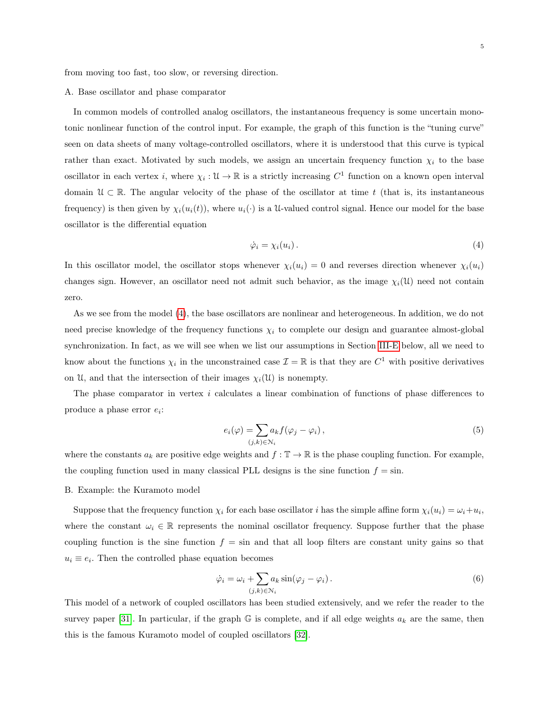from moving too fast, too slow, or reversing direction.

# A. Base oscillator and phase comparator

In common models of controlled analog oscillators, the instantaneous frequency is some uncertain monotonic nonlinear function of the control input. For example, the graph of this function is the "tuning curve" seen on data sheets of many voltage-controlled oscillators, where it is understood that this curve is typical rather than exact. Motivated by such models, we assign an uncertain frequency function  $\chi_i$  to the base oscillator in each vertex i, where  $\chi_i: \mathcal{U} \to \mathbb{R}$  is a strictly increasing  $C^1$  function on a known open interval domain  $\mathcal{U} \subset \mathbb{R}$ . The angular velocity of the phase of the oscillator at time t (that is, its instantaneous frequency) is then given by  $\chi_i(u_i(t))$ , where  $u_i(\cdot)$  is a U-valued control signal. Hence our model for the base oscillator is the differential equation

<span id="page-4-0"></span>
$$
\dot{\varphi}_i = \chi_i(u_i). \tag{4}
$$

In this oscillator model, the oscillator stops whenever  $\chi_i(u_i) = 0$  and reverses direction whenever  $\chi_i(u_i)$ changes sign. However, an oscillator need not admit such behavior, as the image  $\chi_i(\mathfrak{U})$  need not contain zero.

As we see from the model [\(4\)](#page-4-0), the base oscillators are nonlinear and heterogeneous. In addition, we do not need precise knowledge of the frequency functions  $\chi_i$  to complete our design and guarantee almost-global synchronization. In fact, as we will see when we list our assumptions in Section [III-E](#page-7-0) below, all we need to know about the functions  $\chi_i$  in the unconstrained case  $\mathcal{I} = \mathbb{R}$  is that they are  $C^1$  with positive derivatives on U, and that the intersection of their images  $\chi_i(\mathfrak{U})$  is nonempty.

The phase comparator in vertex i calculates a linear combination of functions of phase differences to produce a phase error  $e_i$ :

<span id="page-4-2"></span>
$$
e_i(\varphi) = \sum_{(j,k)\in\mathcal{N}_i} a_k f(\varphi_j - \varphi_i),\tag{5}
$$

where the constants  $a_k$  are positive edge weights and  $f : \mathbb{T} \to \mathbb{R}$  is the phase coupling function. For example, the coupling function used in many classical PLL designs is the sine function  $f = \sin$ .

#### B. Example: the Kuramoto model

Suppose that the frequency function  $\chi_i$  for each base oscillator i has the simple affine form  $\chi_i(u_i) = \omega_i + u_i$ , where the constant  $\omega_i \in \mathbb{R}$  represents the nominal oscillator frequency. Suppose further that the phase coupling function is the sine function  $f = \sin$  and that all loop filters are constant unity gains so that  $u_i \equiv e_i$ . Then the controlled phase equation becomes

<span id="page-4-1"></span>
$$
\dot{\varphi}_i = \omega_i + \sum_{(j,k) \in \mathcal{N}_i} a_k \sin(\varphi_j - \varphi_i).
$$
\n(6)

This model of a network of coupled oscillators has been studied extensively, and we refer the reader to the survey paper [\[31\]](#page-26-6). In particular, if the graph G is complete, and if all edge weights  $a_k$  are the same, then this is the famous Kuramoto model of coupled oscillators [\[32\]](#page-26-7).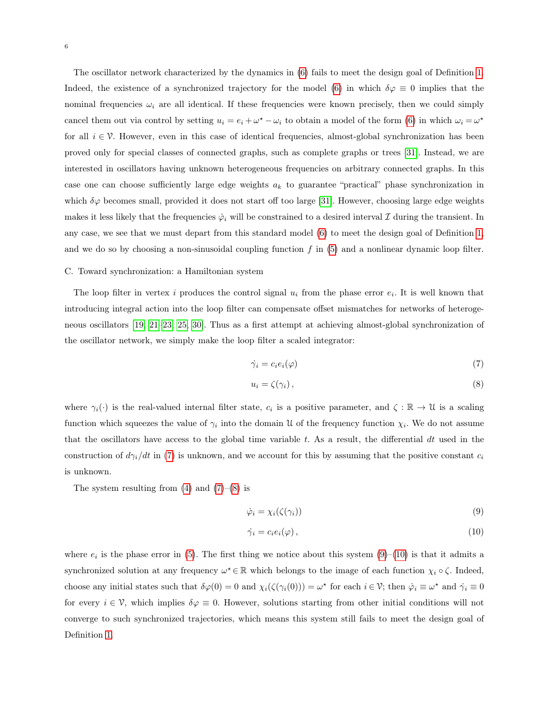The oscillator network characterized by the dynamics in [\(6\)](#page-4-1) fails to meet the design goal of Definition [1.](#page-3-2) Indeed, the existence of a synchronized trajectory for the model [\(6\)](#page-4-1) in which  $\delta\varphi \equiv 0$  implies that the nominal frequencies  $\omega_i$  are all identical. If these frequencies were known precisely, then we could simply cancel them out via control by setting  $u_i = e_i + \omega^* - \omega_i$  to obtain a model of the form [\(6\)](#page-4-1) in which  $\omega_i = \omega^*$ for all  $i \in \mathcal{V}$ . However, even in this case of identical frequencies, almost-global synchronization has been proved only for special classes of connected graphs, such as complete graphs or trees [\[31\]](#page-26-6). Instead, we are interested in oscillators having unknown heterogeneous frequencies on arbitrary connected graphs. In this case one can choose sufficiently large edge weights  $a_k$  to guarantee "practical" phase synchronization in which  $\delta\varphi$  becomes small, provided it does not start off too large [\[31\]](#page-26-6). However, choosing large edge weights makes it less likely that the frequencies  $\dot{\varphi}_i$  will be constrained to a desired interval  $\mathcal I$  during the transient. In any case, we see that we must depart from this standard model [\(6\)](#page-4-1) to meet the design goal of Definition [1,](#page-3-2) and we do so by choosing a non-sinusoidal coupling function  $f$  in [\(5\)](#page-4-2) and a nonlinear dynamic loop filter.

#### <span id="page-5-4"></span>C. Toward synchronization: a Hamiltonian system

The loop filter in vertex i produces the control signal  $u_i$  from the phase error  $e_i$ . It is well known that introducing integral action into the loop filter can compensate offset mismatches for networks of heterogeneous oscillators [\[19,](#page-25-6) [21–](#page-25-7)[23,](#page-25-5) [25,](#page-26-0) [30\]](#page-26-5). Thus as a first attempt at achieving almost-global synchronization of the oscillator network, we simply make the loop filter a scaled integrator:

<span id="page-5-0"></span>
$$
\dot{\gamma}_i = c_i e_i(\varphi) \tag{7}
$$

<span id="page-5-1"></span>
$$
u_i = \zeta(\gamma_i), \tag{8}
$$

where  $\gamma_i(\cdot)$  is the real-valued internal filter state,  $c_i$  is a positive parameter, and  $\zeta : \mathbb{R} \to \mathcal{U}$  is a scaling function which squeezes the value of  $\gamma_i$  into the domain U of the frequency function  $\chi_i$ . We do not assume that the oscillators have access to the global time variable  $t$ . As a result, the differential  $dt$  used in the construction of  $d\gamma_i/dt$  in [\(7\)](#page-5-0) is unknown, and we account for this by assuming that the positive constant  $c_i$ is unknown.

The system resulting from  $(4)$  and  $(7)-(8)$  $(7)-(8)$  $(7)-(8)$  is

<span id="page-5-2"></span>
$$
\dot{\varphi}_i = \chi_i(\zeta(\gamma_i)) \tag{9}
$$

<span id="page-5-3"></span>
$$
\dot{\gamma}_i = c_i e_i(\varphi) \,, \tag{10}
$$

where  $e_i$  is the phase error in [\(5\)](#page-4-2). The first thing we notice about this system [\(9\)](#page-5-2)–[\(10\)](#page-5-3) is that it admits a synchronized solution at any frequency  $\omega^* \in \mathbb{R}$  which belongs to the image of each function  $\chi_i \circ \zeta$ . Indeed, choose any initial states such that  $\delta\varphi(0) = 0$  and  $\chi_i(\zeta(\gamma_i(0))) = \omega^*$  for each  $i \in \mathcal{V}$ ; then  $\dot{\varphi}_i \equiv \omega^*$  and  $\dot{\gamma}_i \equiv 0$ for every  $i \in \mathcal{V}$ , which implies  $\delta \varphi \equiv 0$ . However, solutions starting from other initial conditions will not converge to such synchronized trajectories, which means this system still fails to meet the design goal of Definition [1.](#page-3-2)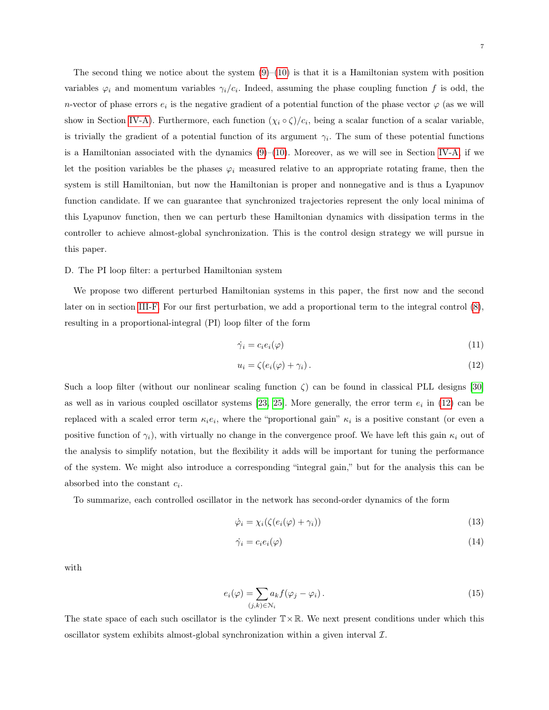The second thing we notice about the system  $(9)$ – $(10)$  is that it is a Hamiltonian system with position variables  $\varphi_i$  and momentum variables  $\gamma_i/c_i$ . Indeed, assuming the phase coupling function f is odd, the n-vector of phase errors  $e_i$  is the negative gradient of a potential function of the phase vector  $\varphi$  (as we will show in Section [IV-A\)](#page-12-0). Furthermore, each function  $(\chi_i \circ \zeta)/c_i$ , being a scalar function of a scalar variable, is trivially the gradient of a potential function of its argument  $\gamma_i$ . The sum of these potential functions is a Hamiltonian associated with the dynamics  $(9)-(10)$  $(9)-(10)$  $(9)-(10)$ . Moreover, as we will see in Section [IV-A,](#page-12-0) if we let the position variables be the phases  $\varphi_i$  measured relative to an appropriate rotating frame, then the system is still Hamiltonian, but now the Hamiltonian is proper and nonnegative and is thus a Lyapunov function candidate. If we can guarantee that synchronized trajectories represent the only local minima of this Lyapunov function, then we can perturb these Hamiltonian dynamics with dissipation terms in the controller to achieve almost-global synchronization. This is the control design strategy we will pursue in this paper.

# D. The PI loop filter: a perturbed Hamiltonian system

We propose two different perturbed Hamiltonian systems in this paper, the first now and the second later on in section [III-F.](#page-10-0) For our first perturbation, we add a proportional term to the integral control [\(8\)](#page-5-1), resulting in a proportional-integral (PI) loop filter of the form

<span id="page-6-0"></span>
$$
\dot{\gamma}_i = c_i e_i(\varphi) \tag{11}
$$

$$
u_i = \zeta(e_i(\varphi) + \gamma_i). \tag{12}
$$

Such a loop filter (without our nonlinear scaling function  $\zeta$ ) can be found in classical PLL designs [\[30\]](#page-26-5) as well as in various coupled oscillator systems [\[23,](#page-25-5) [25\]](#page-26-0). More generally, the error term  $e_i$  in [\(12\)](#page-6-0) can be replaced with a scaled error term  $\kappa_i e_i$ , where the "proportional gain"  $\kappa_i$  is a positive constant (or even a positive function of  $\gamma_i$ ), with virtually no change in the convergence proof. We have left this gain  $\kappa_i$  out of the analysis to simplify notation, but the flexibility it adds will be important for tuning the performance of the system. We might also introduce a corresponding "integral gain," but for the analysis this can be absorbed into the constant  $c_i$ .

To summarize, each controlled oscillator in the network has second-order dynamics of the form

<span id="page-6-1"></span>
$$
\dot{\varphi}_i = \chi_i(\zeta(e_i(\varphi) + \gamma_i)) \tag{13}
$$

<span id="page-6-2"></span>
$$
\dot{\gamma}_i = c_i e_i(\varphi) \tag{14}
$$

with

$$
e_i(\varphi) = \sum_{(j,k)\in\mathcal{N}_i} a_k f(\varphi_j - \varphi_i).
$$
\n(15)

The state space of each such oscillator is the cylinder  $T \times \mathbb{R}$ . We next present conditions under which this oscillator system exhibits almost-global synchronization within a given interval  $\mathcal{I}$ .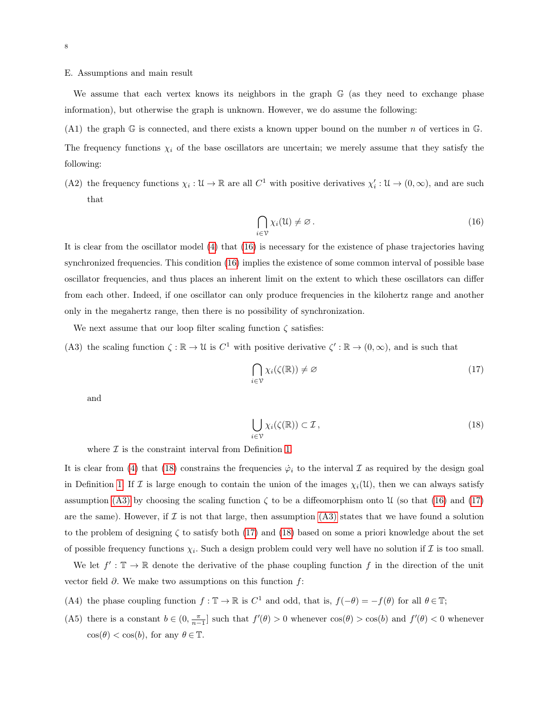# <span id="page-7-0"></span>E. Assumptions and main result

We assume that each vertex knows its neighbors in the graph G (as they need to exchange phase information), but otherwise the graph is unknown. However, we do assume the following:

<span id="page-7-7"></span>(A1) the graph G is connected, and there exists a known upper bound on the number n of vertices in G. The frequency functions  $\chi_i$  of the base oscillators are uncertain; we merely assume that they satisfy the following:

<span id="page-7-8"></span>(A2) the frequency functions  $\chi_i : \mathcal{U} \to \mathbb{R}$  are all  $C^1$  with positive derivatives  $\chi'_i : \mathcal{U} \to (0, \infty)$ , and are such that

<span id="page-7-1"></span>
$$
\bigcap_{i \in \mathcal{V}} \chi_i(\mathfrak{U}) \neq \varnothing. \tag{16}
$$

It is clear from the oscillator model [\(4\)](#page-4-0) that [\(16\)](#page-7-1) is necessary for the existence of phase trajectories having synchronized frequencies. This condition [\(16\)](#page-7-1) implies the existence of some common interval of possible base oscillator frequencies, and thus places an inherent limit on the extent to which these oscillators can differ from each other. Indeed, if one oscillator can only produce frequencies in the kilohertz range and another only in the megahertz range, then there is no possibility of synchronization.

We next assume that our loop filter scaling function  $\zeta$  satisfies:

<span id="page-7-3"></span>(A3) the scaling function  $\zeta : \mathbb{R} \to \mathcal{U}$  is  $C^1$  with positive derivative  $\zeta' : \mathbb{R} \to (0, \infty)$ , and is such that

<span id="page-7-4"></span>
$$
\bigcap_{i \in \mathcal{V}} \chi_i(\zeta(\mathbb{R})) \neq \varnothing \tag{17}
$$

and

<span id="page-7-2"></span>
$$
\bigcup_{i \in \mathcal{V}} \chi_i(\zeta(\mathbb{R})) \subset \mathcal{I},\tag{18}
$$

where  $\mathcal I$  is the constraint interval from Definition [1.](#page-3-2)

It is clear from [\(4\)](#page-4-0) that [\(18\)](#page-7-2) constrains the frequencies  $\dot{\varphi}_i$  to the interval  $\mathcal I$  as required by the design goal in Definition [1.](#page-3-2) If I is large enough to contain the union of the images  $\chi_i(\mathfrak{U})$ , then we can always satisfy assumption [\(A3\)](#page-7-3) by choosing the scaling function  $\zeta$  to be a diffeomorphism onto U (so that [\(16\)](#page-7-1) and [\(17\)](#page-7-4) are the same). However, if  $\mathcal I$  is not that large, then assumption [\(A3\)](#page-7-3) states that we have found a solution to the problem of designing  $\zeta$  to satisfy both [\(17\)](#page-7-4) and [\(18\)](#page-7-2) based on some a priori knowledge about the set of possible frequency functions  $\chi_i$ . Such a design problem could very well have no solution if  $\mathcal I$  is too small.

We let  $f' : \mathbb{T} \to \mathbb{R}$  denote the derivative of the phase coupling function f in the direction of the unit vector field  $\partial$ . We make two assumptions on this function f:

- <span id="page-7-5"></span>(A4) the phase coupling function  $f : \mathbb{T} \to \mathbb{R}$  is  $C^1$  and odd, that is,  $f(-\theta) = -f(\theta)$  for all  $\theta \in \mathbb{T}$ ;
- <span id="page-7-6"></span>(A5) there is a constant  $b \in (0, \frac{\pi}{n-1}]$  such that  $f'(\theta) > 0$  whenever  $\cos(\theta) > \cos(\theta)$  and  $f'(\theta) < 0$  whenever  $\cos(\theta) < \cos(b)$ , for any  $\theta \in \mathbb{T}$ .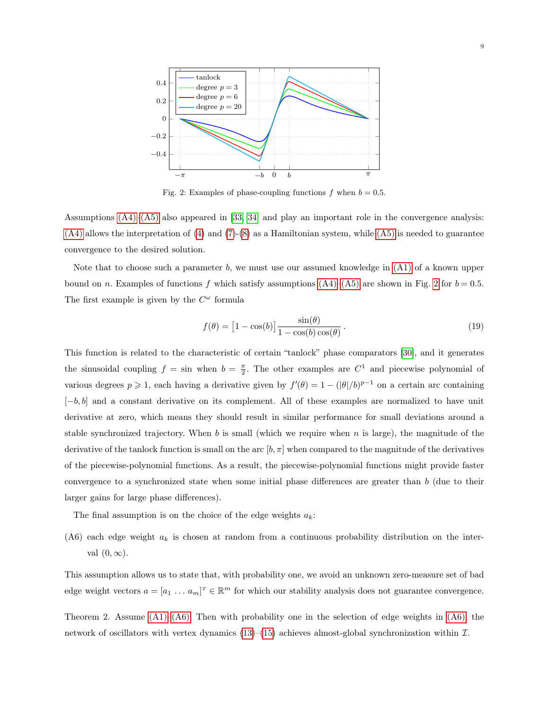<span id="page-8-0"></span>

Fig. 2: Examples of phase-coupling functions f when  $b = 0.5$ .

Assumptions [\(A4\)–](#page-7-5)[\(A5\)](#page-7-6) also appeared in [\[33,](#page-26-8) [34\]](#page-26-9) and play an important role in the convergence analysis:  $(A4)$  allows the interpretation of  $(4)$  and  $(7)-(8)$  $(7)-(8)$  $(7)-(8)$  as a Hamiltonian system, while  $(A5)$  is needed to guarantee convergence to the desired solution.

Note that to choose such a parameter b, we must use our assumed knowledge in  $(A1)$  of a known upper bound on n. Examples of functions f which satisfy assumptions  $(A4)$ – $(A5)$  are shown in Fig. [2](#page-8-0) for  $b = 0.5$ . The first example is given by the  $C^{\omega}$  formula

$$
f(\theta) = \left[1 - \cos(b)\right] \frac{\sin(\theta)}{1 - \cos(b)\cos(\theta)}.
$$
 (19)

This function is related to the characteristic of certain "tanlock" phase comparators [\[30\]](#page-26-5), and it generates the sinusoidal coupling  $f = \sin$  when  $b = \frac{\pi}{2}$ . The other examples are  $C^1$  and piecewise polynomial of various degrees  $p \geq 1$ , each having a derivative given by  $f'(\theta) = 1 - (|\theta|/b)^{p-1}$  on a certain arc containing  $[-b, b]$  and a constant derivative on its complement. All of these examples are normalized to have unit derivative at zero, which means they should result in similar performance for small deviations around a stable synchronized trajectory. When b is small (which we require when  $n$  is large), the magnitude of the derivative of the tanlock function is small on the arc  $[b, \pi]$  when compared to the magnitude of the derivatives of the piecewise-polynomial functions. As a result, the piecewise-polynomial functions might provide faster convergence to a synchronized state when some initial phase differences are greater than b (due to their larger gains for large phase differences).

The final assumption is on the choice of the edge weights  $a_k$ :

<span id="page-8-1"></span>(A6) each edge weight  $a_k$  is chosen at random from a continuous probability distribution on the interval  $(0, \infty)$ .

This assumption allows us to state that, with probability one, we avoid an unknown zero-measure set of bad edge weight vectors  $a = [a_1 \dots a_m]^T \in \mathbb{R}^m$  for which our stability analysis does not guarantee convergence.

<span id="page-8-2"></span>Theorem 2. Assume  $(A1)$ – $(A6)$ . Then with probability one in the selection of edge weights in  $(A6)$ , the network of oscillators with vertex dynamics [\(13\)](#page-6-1)–[\(15\)](#page-6-2) achieves almost-global synchronization within  $\mathcal{I}$ .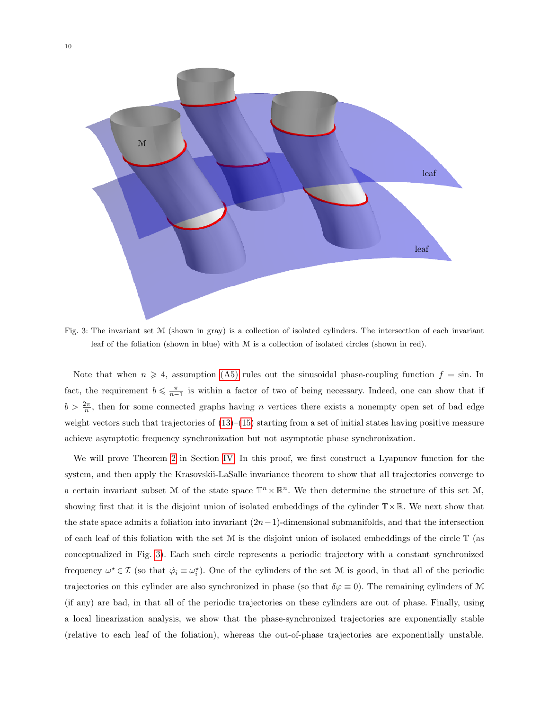<span id="page-9-0"></span>

Fig. 3: The invariant set M (shown in gray) is a collection of isolated cylinders. The intersection of each invariant leaf of the foliation (shown in blue) with M is a collection of isolated circles (shown in red).

Note that when  $n \geq 4$ , assumption [\(A5\)](#page-7-6) rules out the sinusoidal phase-coupling function  $f = \sin$ . In fact, the requirement  $b \leq \frac{\pi}{n-1}$  is within a factor of two of being necessary. Indeed, one can show that if  $b > \frac{2\pi}{n}$ , then for some connected graphs having *n* vertices there exists a nonempty open set of bad edge weight vectors such that trajectories of  $(13)$ – $(15)$  starting from a set of initial states having positive measure achieve asymptotic frequency synchronization but not asymptotic phase synchronization.

We will prove Theorem [2](#page-8-2) in Section [IV.](#page-11-0) In this proof, we first construct a Lyapunov function for the system, and then apply the Krasovskii-LaSalle invariance theorem to show that all trajectories converge to a certain invariant subset M of the state space  $\mathbb{T}^n \times \mathbb{R}^n$ . We then determine the structure of this set M, showing first that it is the disjoint union of isolated embeddings of the cylinder  $T \times \mathbb{R}$ . We next show that the state space admits a foliation into invariant  $(2n-1)$ -dimensional submanifolds, and that the intersection of each leaf of this foliation with the set  $\mathcal M$  is the disjoint union of isolated embeddings of the circle  $\mathbb T$  (as conceptualized in Fig. [3\)](#page-9-0). Each such circle represents a periodic trajectory with a constant synchronized frequency  $\omega^* \in \mathcal{I}$  (so that  $\dot{\varphi}_i \equiv \omega_i^*$ ). One of the cylinders of the set M is good, in that all of the periodic trajectories on this cylinder are also synchronized in phase (so that  $\delta\varphi \equiv 0$ ). The remaining cylinders of M (if any) are bad, in that all of the periodic trajectories on these cylinders are out of phase. Finally, using a local linearization analysis, we show that the phase-synchronized trajectories are exponentially stable (relative to each leaf of the foliation), whereas the out-of-phase trajectories are exponentially unstable.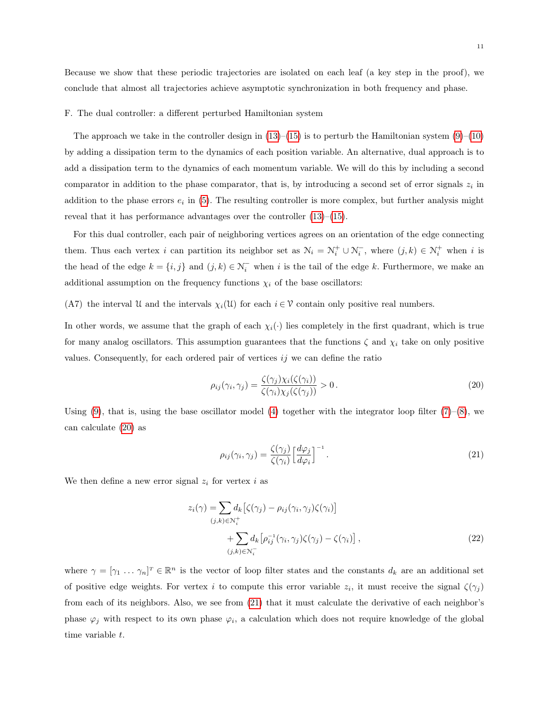Because we show that these periodic trajectories are isolated on each leaf (a key step in the proof), we conclude that almost all trajectories achieve asymptotic synchronization in both frequency and phase.

# <span id="page-10-0"></span>F. The dual controller: a different perturbed Hamiltonian system

The approach we take in the controller design in  $(13)$ – $(15)$  is to perturb the Hamiltonian system  $(9)$ – $(10)$ by adding a dissipation term to the dynamics of each position variable. An alternative, dual approach is to add a dissipation term to the dynamics of each momentum variable. We will do this by including a second comparator in addition to the phase comparator, that is, by introducing a second set of error signals  $z_i$  in addition to the phase errors  $e_i$  in [\(5\)](#page-4-2). The resulting controller is more complex, but further analysis might reveal that it has performance advantages over the controller  $(13)$ – $(15)$ .

For this dual controller, each pair of neighboring vertices agrees on an orientation of the edge connecting them. Thus each vertex i can partition its neighbor set as  $\mathcal{N}_i = \mathcal{N}_i^+ \cup \mathcal{N}_i^-$ , where  $(j,k) \in \mathcal{N}_i^+$  when i is the head of the edge  $k = \{i, j\}$  and  $(j, k) \in \mathcal{N}_i^-$  when i is the tail of the edge k. Furthermore, we make an additional assumption on the frequency functions  $\chi_i$  of the base oscillators:

# <span id="page-10-4"></span>(A7) the interval U and the intervals  $\chi_i(\mathfrak{U})$  for each  $i \in \mathcal{V}$  contain only positive real numbers.

In other words, we assume that the graph of each  $\chi_i(\cdot)$  lies completely in the first quadrant, which is true for many analog oscillators. This assumption guarantees that the functions  $\zeta$  and  $\chi_i$  take on only positive values. Consequently, for each ordered pair of vertices  $i<sub>j</sub>$  we can define the ratio

<span id="page-10-1"></span>
$$
\rho_{ij}(\gamma_i, \gamma_j) = \frac{\zeta(\gamma_j)\chi_i(\zeta(\gamma_i))}{\zeta(\gamma_i)\chi_j(\zeta(\gamma_j))} > 0.
$$
\n(20)

Using  $(9)$ , that is, using the base oscillator model  $(4)$  together with the integrator loop filter  $(7)$ – $(8)$ , we can calculate [\(20\)](#page-10-1) as

<span id="page-10-3"></span><span id="page-10-2"></span>
$$
\rho_{ij}(\gamma_i, \gamma_j) = \frac{\zeta(\gamma_j)}{\zeta(\gamma_i)} \left[ \frac{d\varphi_j}{d\varphi_i} \right]^{-1}.
$$
\n(21)

We then define a new error signal  $z_i$  for vertex i as

$$
z_i(\gamma) = \sum_{(j,k)\in\mathcal{N}_i^+} d_k \left[ \zeta(\gamma_j) - \rho_{ij}(\gamma_i, \gamma_j) \zeta(\gamma_i) \right] + \sum_{(j,k)\in\mathcal{N}_i^-} d_k \left[ \rho_{ij}^{-1}(\gamma_i, \gamma_j) \zeta(\gamma_j) - \zeta(\gamma_i) \right],
$$
\n(22)

where  $\gamma = [\gamma_1 \dots \gamma_n]^T \in \mathbb{R}^n$  is the vector of loop filter states and the constants  $d_k$  are an additional set of positive edge weights. For vertex i to compute this error variable  $z_i$ , it must receive the signal  $\zeta(\gamma_j)$ from each of its neighbors. Also, we see from [\(21\)](#page-10-2) that it must calculate the derivative of each neighbor's phase  $\varphi_j$  with respect to its own phase  $\varphi_i$ , a calculation which does not require knowledge of the global time variable t.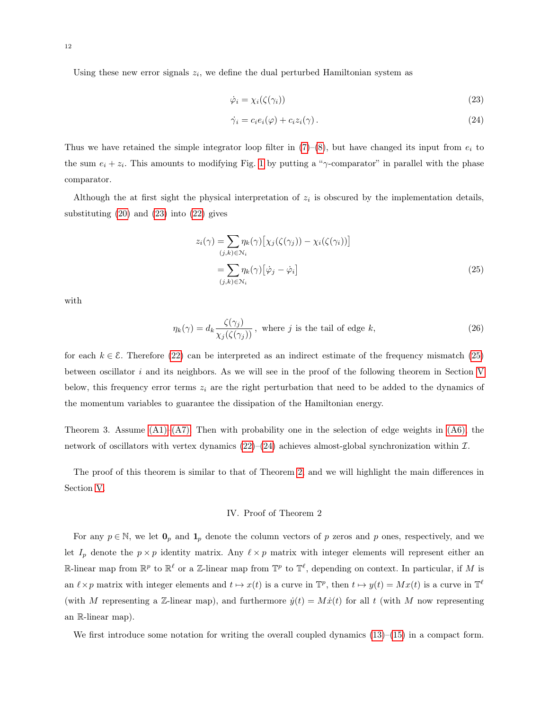Using these new error signals  $z_i$ , we define the dual perturbed Hamiltonian system as

<span id="page-11-3"></span><span id="page-11-1"></span>
$$
\dot{\varphi}_i = \chi_i(\zeta(\gamma_i)) \tag{23}
$$

$$
\dot{\gamma}_i = c_i e_i(\varphi) + c_i z_i(\gamma). \tag{24}
$$

Thus we have retained the simple integrator loop filter in  $(7)-(8)$  $(7)-(8)$  $(7)-(8)$ , but have changed its input from  $e_i$  to the sum  $e_i + z_i$ . This amounts to modifying Fig. [1](#page-3-0) by putting a "γ-comparator" in parallel with the phase comparator.

Although the at first sight the physical interpretation of  $z_i$  is obscured by the implementation details, substituting  $(20)$  and  $(23)$  into  $(22)$  gives

<span id="page-11-2"></span>
$$
z_i(\gamma) = \sum_{(j,k)\in\mathcal{N}_i} \eta_k(\gamma) \left[ \chi_j(\zeta(\gamma_j)) - \chi_i(\zeta(\gamma_i)) \right]
$$
  
= 
$$
\sum_{(j,k)\in\mathcal{N}_i} \eta_k(\gamma) \left[ \dot{\varphi}_j - \dot{\varphi}_i \right]
$$
 (25)

with

$$
\eta_k(\gamma) = d_k \frac{\zeta(\gamma_j)}{\chi_j(\zeta(\gamma_j))}, \text{ where } j \text{ is the tail of edge } k,
$$
\n(26)

for each  $k \in \mathcal{E}$ . Therefore [\(22\)](#page-10-3) can be interpreted as an indirect estimate of the frequency mismatch [\(25\)](#page-11-2) between oscillator  $i$  and its neighbors. As we will see in the proof of the following theorem in Section [V](#page-18-0) below, this frequency error terms  $z_i$  are the right perturbation that need to be added to the dynamics of the momentum variables to guarantee the dissipation of the Hamiltonian energy.

Theorem 3. Assume  $(A1)$ – $(A7)$ . Then with probability one in the selection of edge weights in  $(A6)$ , the network of oscillators with vertex dynamics  $(22)$ – $(24)$  achieves almost-global synchronization within  $\mathcal{I}$ .

<span id="page-11-0"></span>The proof of this theorem is similar to that of Theorem [2,](#page-8-2) and we will highlight the main differences in Section [V.](#page-18-0)

# IV. Proof of Theorem 2

For any  $p \in \mathbb{N}$ , we let  $\mathbf{0}_p$  and  $\mathbf{1}_p$  denote the column vectors of p zeros and p ones, respectively, and we let  $I_p$  denote the  $p \times p$  identity matrix. Any  $\ell \times p$  matrix with integer elements will represent either an R-linear map from  $\mathbb{R}^p$  to  $\mathbb{R}^\ell$  or a Z-linear map from  $\mathbb{T}^p$  to  $\mathbb{T}^\ell$ , depending on context. In particular, if M is an  $\ell \times p$  matrix with integer elements and  $t \mapsto x(t)$  is a curve in  $\mathbb{T}^p$ , then  $t \mapsto y(t) = Mx(t)$  is a curve in  $\mathbb{T}^\ell$ (with M representing a Z-linear map), and furthermore  $\dot{y}(t) = M\dot{x}(t)$  for all t (with M now representing an R-linear map).

We first introduce some notation for writing the overall coupled dynamics  $(13)$ – $(15)$  in a compact form.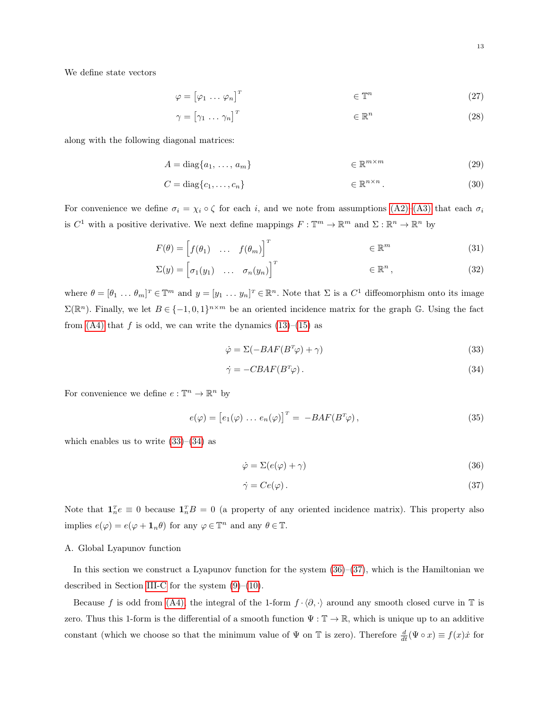We define state vectors

$$
\varphi = \begin{bmatrix} \varphi_1 & \dots & \varphi_n \end{bmatrix}^T \qquad \qquad \in \mathbb{T}^n \tag{27}
$$

$$
\gamma = \begin{bmatrix} \gamma_1 & \dots & \gamma_n \end{bmatrix}^T \qquad \qquad \in \mathbb{R}^n \tag{28}
$$

along with the following diagonal matrices:

$$
A = \text{diag}\{a_1, \dots, a_m\} \qquad \in \mathbb{R}^{m \times m} \tag{29}
$$

$$
C = \text{diag}\{c_1, \dots, c_n\} \qquad \in \mathbb{R}^{n \times n} \,. \tag{30}
$$

For convenience we define  $\sigma_i = \chi_i \circ \zeta$  for each i, and we note from assumptions  $(A2)$ – $(A3)$  that each  $\sigma_i$ is  $C^1$  with a positive derivative. We next define mappings  $F: \mathbb{T}^m \to \mathbb{R}^m$  and  $\Sigma: \mathbb{R}^n \to \mathbb{R}^n$  by

$$
F(\theta) = \begin{bmatrix} f(\theta_1) & \dots & f(\theta_m) \end{bmatrix}^T \in \mathbb{R}^m \tag{31}
$$

$$
\Sigma(y) = \begin{bmatrix} \sigma_1(y_1) & \dots & \sigma_n(y_n) \end{bmatrix}^T \qquad \in \mathbb{R}^n , \qquad (32)
$$

where  $\theta = [\theta_1 \dots \theta_m]^T \in \mathbb{R}^m$  and  $y = [y_1 \dots y_n]^T \in \mathbb{R}^n$ . Note that  $\Sigma$  is a  $C^1$  diffeomorphism onto its image  $\Sigma(\mathbb{R}^n)$ . Finally, we let  $B \in \{-1,0,1\}^{n \times m}$  be an oriented incidence matrix for the graph G. Using the fact from  $(A4)$  that f is odd, we can write the dynamics  $(13)$ – $(15)$  as

<span id="page-12-2"></span><span id="page-12-1"></span>
$$
\dot{\varphi} = \Sigma(-BAF(B^T\varphi) + \gamma) \tag{33}
$$

$$
\dot{\gamma} = -CBAF(B^T\varphi). \tag{34}
$$

For convenience we define  $e: \mathbb{T}^n \to \mathbb{R}^n$  by

$$
e(\varphi) = [e_1(\varphi) \dots e_n(\varphi)]^T = -BAF(B^T\varphi), \qquad (35)
$$

which enables us to write  $(33)$ – $(34)$  as

<span id="page-12-5"></span><span id="page-12-3"></span>
$$
\dot{\varphi} = \Sigma(e(\varphi) + \gamma) \tag{36}
$$

<span id="page-12-4"></span>
$$
\dot{\gamma} = Ce(\varphi). \tag{37}
$$

Note that  $\mathbf{1}_n^T e \equiv 0$  because  $\mathbf{1}_n^T B = 0$  (a property of any oriented incidence matrix). This property also implies  $e(\varphi) = e(\varphi + \mathbf{1}_n \theta)$  for any  $\varphi \in \mathbb{T}^n$  and any  $\theta \in \mathbb{T}$ .

# <span id="page-12-0"></span>A. Global Lyapunov function

In this section we construct a Lyapunov function for the system  $(36)$ – $(37)$ , which is the Hamiltonian we described in Section [III-C](#page-5-4) for the system  $(9)-(10)$  $(9)-(10)$  $(9)-(10)$ .

Because f is odd from [\(A4\),](#page-7-5) the integral of the 1-form  $f \cdot \langle \partial, \cdot \rangle$  around any smooth closed curve in T is zero. Thus this 1-form is the differential of a smooth function  $\Psi : \mathbb{T} \to \mathbb{R}$ , which is unique up to an additive constant (which we choose so that the minimum value of  $\Psi$  on  $\mathbb T$  is zero). Therefore  $\frac{d}{dt}(\Psi \circ x) \equiv f(x)\dot{x}$  for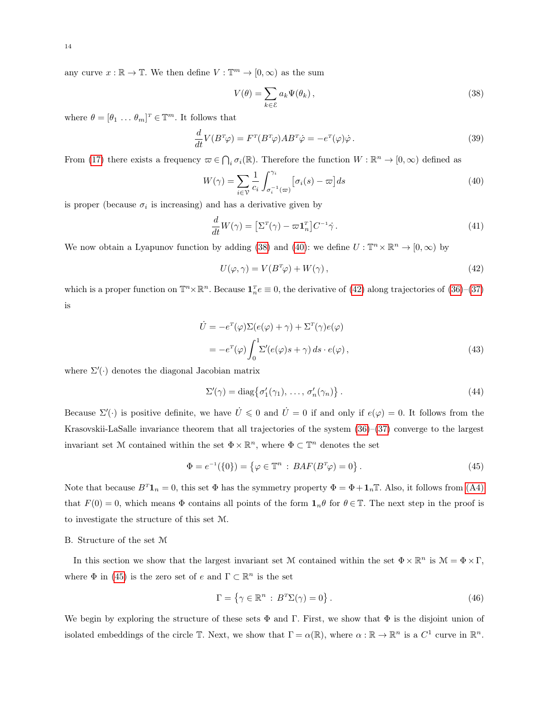any curve  $x : \mathbb{R} \to \mathbb{T}$ . We then define  $V : \mathbb{T}^m \to [0, \infty)$  as the sum

<span id="page-13-1"></span><span id="page-13-0"></span>
$$
V(\theta) = \sum_{k \in \mathcal{E}} a_k \Psi(\theta_k), \qquad (38)
$$

where  $\theta = [\theta_1 \dots \theta_m]^T \in \mathbb{T}^m$ . It follows that

$$
\frac{d}{dt}V(B^T\varphi) = F^T(B^T\varphi)AB^T\dot{\varphi} = -e^T(\varphi)\dot{\varphi} \,.
$$
\n(39)

From [\(17\)](#page-7-4) there exists a frequency  $\omega \in \bigcap_i \sigma_i(\mathbb{R})$ . Therefore the function  $W : \mathbb{R}^n \to [0, \infty)$  defined as

$$
W(\gamma) = \sum_{i \in \mathcal{V}} \frac{1}{c_i} \int_{\sigma_i^{-1}(\varpi)}^{\gamma_i} \left[ \sigma_i(s) - \varpi \right] ds \tag{40}
$$

is proper (because  $\sigma_i$  is increasing) and has a derivative given by

$$
\frac{d}{dt}W(\gamma) = \left[\Sigma^T(\gamma) - \varpi \mathbf{1}_n^T\right] C^{-1} \dot{\gamma} \,. \tag{41}
$$

We now obtain a Lyapunov function by adding [\(38\)](#page-13-0) and [\(40\)](#page-13-1): we define  $U : \mathbb{T}^n \times \mathbb{R}^n \to [0, \infty)$  by

<span id="page-13-2"></span>
$$
U(\varphi, \gamma) = V(B^T \varphi) + W(\gamma), \qquad (42)
$$

which is a proper function on  $\mathbb{T}^n \times \mathbb{R}^n$ . Because  $\mathbf{1}_n^T e \equiv 0$ , the derivative of [\(42\)](#page-13-2) along trajectories of [\(36\)](#page-12-3)–[\(37\)](#page-12-4) is

$$
\dot{U} = -e^{T}(\varphi)\Sigma(e(\varphi) + \gamma) + \Sigma^{T}(\gamma)e(\varphi)
$$
  
= 
$$
-e^{T}(\varphi)\int_{0}^{1}\Sigma'(e(\varphi)s + \gamma) ds \cdot e(\varphi),
$$
 (43)

where  $\Sigma'(\cdot)$  denotes the diagonal Jacobian matrix

<span id="page-13-5"></span><span id="page-13-3"></span>
$$
\Sigma'(\gamma) = \text{diag}\{\sigma'_1(\gamma_1), \dots, \sigma'_n(\gamma_n)\}.
$$
\n(44)

Because  $\Sigma'(\cdot)$  is positive definite, we have  $\dot{U} \leq 0$  and  $\dot{U} = 0$  if and only if  $e(\varphi) = 0$ . It follows from the Krasovskii-LaSalle invariance theorem that all trajectories of the system [\(36\)](#page-12-3)–[\(37\)](#page-12-4) converge to the largest invariant set M contained within the set  $\Phi \times \mathbb{R}^n$ , where  $\Phi \subset \mathbb{T}^n$  denotes the set

$$
\Phi = e^{-1}(\{0\}) = \{ \varphi \in \mathbb{T}^n : BAF(B^T\varphi) = 0 \}.
$$
\n(45)

Note that because  $B^T \mathbf{1}_n = 0$ , this set  $\Phi$  has the symmetry property  $\Phi = \Phi + \mathbf{1}_n \mathbb{T}$ . Also, it follows from [\(A4\)](#page-7-5) that  $F(0) = 0$ , which means  $\Phi$  contains all points of the form  $\mathbf{1}_n \theta$  for  $\theta \in \mathbb{T}$ . The next step in the proof is to investigate the structure of this set M.

#### B. Structure of the set M

In this section we show that the largest invariant set M contained within the set  $\Phi \times \mathbb{R}^n$  is  $\mathcal{M} = \Phi \times \Gamma$ , where  $\Phi$  in [\(45\)](#page-13-3) is the zero set of e and  $\Gamma \subset \mathbb{R}^n$  is the set

<span id="page-13-4"></span>
$$
\Gamma = \{ \gamma \in \mathbb{R}^n : B^T \Sigma(\gamma) = 0 \}.
$$
\n(46)

We begin by exploring the structure of these sets  $\Phi$  and Γ. First, we show that  $\Phi$  is the disjoint union of isolated embeddings of the circle  $\mathbb{T}$ . Next, we show that  $\Gamma = \alpha(\mathbb{R})$ , where  $\alpha : \mathbb{R} \to \mathbb{R}^n$  is a  $C^1$  curve in  $\mathbb{R}^n$ .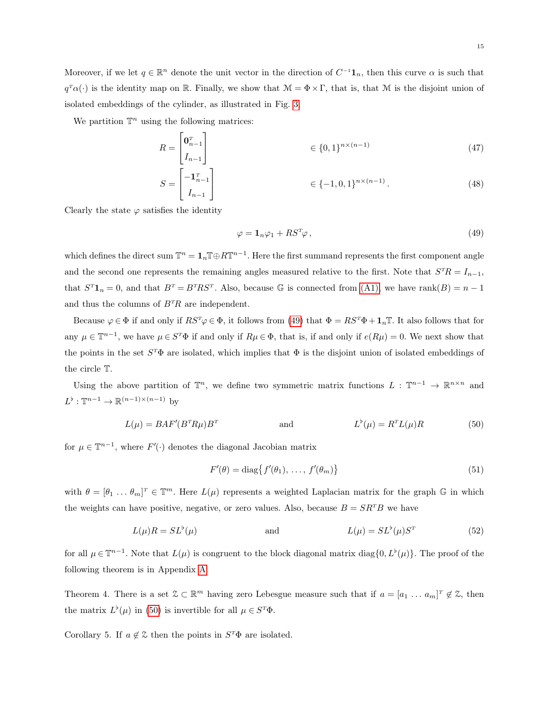We partition  $\mathbb{T}^n$  using the following matrices:

$$
R = \begin{bmatrix} \mathbf{0}_{n-1}^T \\ I_{n-1} \end{bmatrix} \in \{0,1\}^{n \times (n-1)} \tag{47}
$$

$$
S = \begin{bmatrix} -\mathbf{1}_{n-1}^T \\ I_{n-1} \end{bmatrix} \in \{-1, 0, 1\}^{n \times (n-1)}.
$$
 (48)

Clearly the state  $\varphi$  satisfies the identity

<span id="page-14-3"></span><span id="page-14-0"></span>
$$
\varphi = \mathbf{1}_n \varphi_1 + R S^T \varphi \,, \tag{49}
$$

which defines the direct sum  $\mathbb{T}^n = \mathbf{1}_n \mathbb{T} \oplus R\mathbb{T}^{n-1}$ . Here the first summand represents the first component angle and the second one represents the remaining angles measured relative to the first. Note that  $S^{T}R = I_{n-1}$ , that  $S^{T} \mathbf{1}_{n} = 0$ , and that  $B^{T} = B^{T} R S^{T}$ . Also, because G is connected from [\(A1\),](#page-7-7) we have rank $(B) = n - 1$ and thus the columns of  $B^{T}R$  are independent.

Because  $\varphi \in \Phi$  if and only if  $RS^{\tau}\varphi \in \Phi$ , it follows from [\(49\)](#page-14-0) that  $\Phi = RS^{\tau}\Phi + \mathbf{1}_n\mathbb{T}$ . It also follows that for any  $\mu \in \mathbb{T}^{n-1}$ , we have  $\mu \in S^{T}\Phi$  if and only if  $R\mu \in \Phi$ , that is, if and only if  $e(R\mu) = 0$ . We next show that the points in the set  $S^T\Phi$  are isolated, which implies that  $\Phi$  is the disjoint union of isolated embeddings of the circle T.

Using the above partition of  $\mathbb{T}^n$ , we define two symmetric matrix functions  $L : \mathbb{T}^{n-1} \to \mathbb{R}^{n \times n}$  and  $L^{\flat} : \mathbb{T}^{n-1} \to \mathbb{R}^{(n-1)\times(n-1)}$  by

$$
L(\mu) = BAF'(B^{T}R\mu)B^{T} \qquad \text{and} \qquad L^{\flat}(\mu) = R^{T}L(\mu)R \qquad (50)
$$

for  $\mu \in \mathbb{T}^{n-1}$ , where  $F'(\cdot)$  denotes the diagonal Jacobian matrix

<span id="page-14-5"></span><span id="page-14-1"></span>
$$
F'(\theta) = \text{diag}\{f'(\theta_1), \dots, f'(\theta_m)\}\tag{51}
$$

with  $\theta = [\theta_1 \dots \theta_m]^T \in \mathbb{T}^m$ . Here  $L(\mu)$  represents a weighted Laplacian matrix for the graph  $\mathbb{G}$  in which the weights can have positive, negative, or zero values. Also, because  $B = S R^{T} B$  we have

$$
L(\mu)R = SL^{\flat}(\mu) \qquad \text{and} \qquad L(\mu) = SL^{\flat}(\mu)S^{T} \qquad (52)
$$

for all  $\mu \in \mathbb{T}^{n-1}$ . Note that  $L(\mu)$  is congruent to the block diagonal matrix diag $\{0, L^{\flat}(\mu)\}\$ . The proof of the following theorem is in Appendix [A:](#page-21-0)

<span id="page-14-2"></span>Theorem 4. There is a set  $\mathcal{Z} \subset \mathbb{R}^m$  having zero Lebesgue measure such that if  $a = [a_1 \dots a_m]^T \notin \mathcal{Z}$ , then the matrix  $L^{\flat}(\mu)$  in [\(50\)](#page-14-1) is invertible for all  $\mu \in S^{T}\Phi$ .

<span id="page-14-4"></span>Corollary 5. If  $a \notin \mathcal{Z}$  then the points in  $S^T \Phi$  are isolated.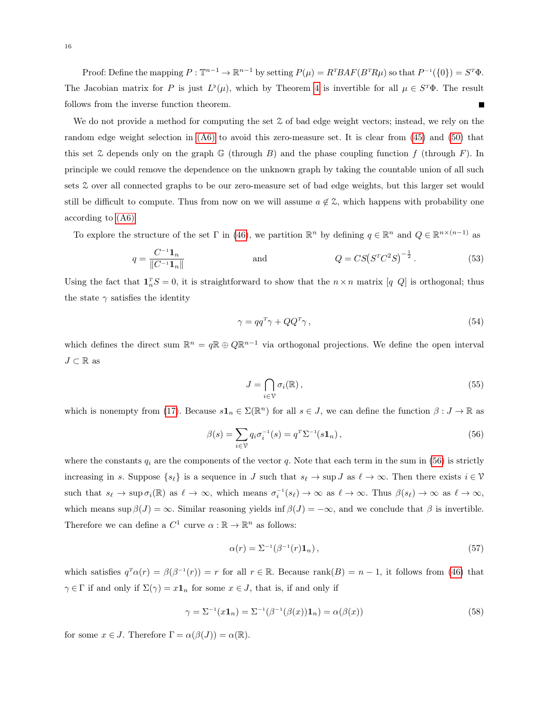Proof: Define the mapping  $P: \mathbb{T}^{n-1} \to \mathbb{R}^{n-1}$  by setting  $P(\mu) = R^{T}BAF(B^{T}R\mu)$  so that  $P^{-1}(\{0\}) = S^{T}\Phi$ . The Jacobian matrix for P is just  $L^{\flat}(\mu)$ , which by Theorem [4](#page-14-2) is invertible for all  $\mu \in S^{T}\Phi$ . The result follows from the inverse function theorem.

We do not provide a method for computing the set  $\mathcal Z$  of bad edge weight vectors; instead, we rely on the random edge weight selection in [\(A6\)](#page-8-1) to avoid this zero-measure set. It is clear from [\(45\)](#page-13-3) and [\(50\)](#page-14-1) that this set  $\mathfrak X$  depends only on the graph  $\mathbb G$  (through B) and the phase coupling function f (through F). In principle we could remove the dependence on the unknown graph by taking the countable union of all such sets Z over all connected graphs to be our zero-measure set of bad edge weights, but this larger set would still be difficult to compute. Thus from now on we will assume  $a \notin \mathcal{Z}$ , which happens with probability one according to [\(A6\)](#page-8-1)

To explore the structure of the set  $\Gamma$  in [\(46\)](#page-13-4), we partition  $\mathbb{R}^n$  by defining  $q \in \mathbb{R}^n$  and  $Q \in \mathbb{R}^{n \times (n-1)}$  as

$$
q = \frac{C^{-1} \mathbf{1}_n}{\|C^{-1} \mathbf{1}_n\|} \quad \text{and} \quad Q = CS(S^T C^2 S)^{-\frac{1}{2}}.
$$
 (53)

Using the fact that  $\mathbf{1}_n^T S = 0$ , it is straightforward to show that the  $n \times n$  matrix  $[q \ Q]$  is orthogonal; thus the state  $\gamma$  satisfies the identity

<span id="page-15-1"></span>
$$
\gamma = q q^T \gamma + Q Q^T \gamma \,,\tag{54}
$$

which defines the direct sum  $\mathbb{R}^n = q \mathbb{R} \oplus Q \mathbb{R}^{n-1}$  via orthogonal projections. We define the open interval  $J \subset \mathbb{R}$  as

<span id="page-15-0"></span>
$$
J = \bigcap_{i \in \mathcal{V}} \sigma_i(\mathbb{R}),\tag{55}
$$

which is nonempty from [\(17\)](#page-7-4). Because  $s\mathbf{1}_n \in \Sigma(\mathbb{R}^n)$  for all  $s \in J$ , we can define the function  $\beta: J \to \mathbb{R}$  as

$$
\beta(s) = \sum_{i \in \mathcal{V}} q_i \sigma_i^{-1}(s) = q^T \Sigma^{-1}(s \mathbf{1}_n), \qquad (56)
$$

where the constants  $q_i$  are the components of the vector q. Note that each term in the sum in [\(56\)](#page-15-0) is strictly increasing in s. Suppose  $\{s_{\ell}\}\$ is a sequence in J such that  $s_{\ell} \to \sup J$  as  $\ell \to \infty$ . Then there exists  $i \in \mathcal{V}$ such that  $s_\ell \to \sup \sigma_i(\mathbb{R})$  as  $\ell \to \infty$ , which means  $\sigma_i^{-1}(s_\ell) \to \infty$  as  $\ell \to \infty$ . Thus  $\beta(s_\ell) \to \infty$  as  $\ell \to \infty$ , which means sup  $\beta(J) = \infty$ . Similar reasoning yields inf  $\beta(J) = -\infty$ , and we conclude that  $\beta$  is invertible. Therefore we can define a  $C^1$  curve  $\alpha : \mathbb{R} \to \mathbb{R}^n$  as follows:

$$
\alpha(r) = \Sigma^{-1}(\beta^{-1}(r)\mathbf{1}_n),\tag{57}
$$

which satisfies  $q^T\alpha(r) = \beta(\beta^{-1}(r)) = r$  for all  $r \in \mathbb{R}$ . Because rank $(B) = n - 1$ , it follows from [\(46\)](#page-13-4) that  $\gamma \in \Gamma$  if and only if  $\Sigma(\gamma) = x\mathbf{1}_n$  for some  $x \in J$ , that is, if and only if

$$
\gamma = \Sigma^{-1}(x\mathbf{1}_n) = \Sigma^{-1}(\beta^{-1}(\beta(x))\mathbf{1}_n) = \alpha(\beta(x))\tag{58}
$$

for some  $x \in J$ . Therefore  $\Gamma = \alpha(\beta(J)) = \alpha(\mathbb{R})$ .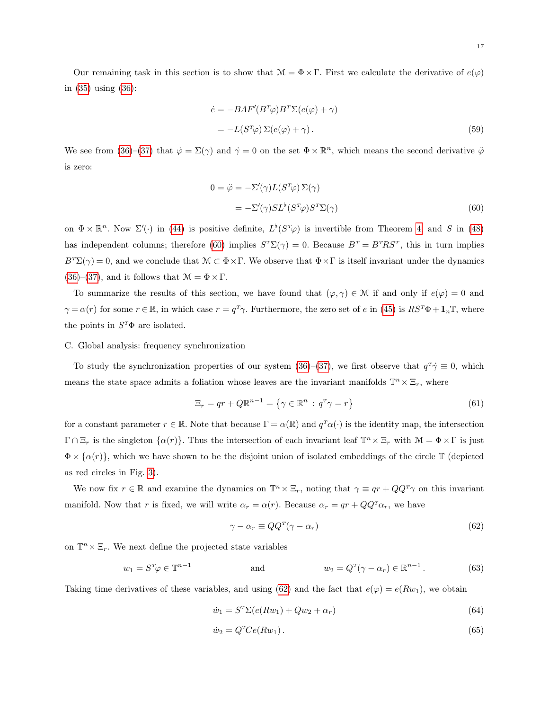$$
\dot{e} = -BAF'(B^T\varphi)B^T\Sigma(e(\varphi) + \gamma)
$$
  
= 
$$
-L(S^T\varphi)\Sigma(e(\varphi) + \gamma).
$$
 (59)

We see from [\(36\)](#page-12-3)–[\(37\)](#page-12-4) that  $\dot{\varphi} = \Sigma(\gamma)$  and  $\dot{\gamma} = 0$  on the set  $\Phi \times \mathbb{R}^n$ , which means the second derivative  $\ddot{\varphi}$ is zero:

<span id="page-16-0"></span>
$$
0 = \ddot{\varphi} = -\Sigma'(\gamma)L(S^T\varphi)\Sigma(\gamma)
$$
  
=  $-\Sigma'(\gamma)SL^{\flat}(S^T\varphi)S^T\Sigma(\gamma)$  (60)

on  $\Phi \times \mathbb{R}^n$ . Now  $\Sigma'(\cdot)$  in [\(44\)](#page-13-5) is positive definite,  $L^{\flat}(S^T\varphi)$  is invertible from Theorem [4,](#page-14-2) and S in [\(48\)](#page-14-3) has independent columns; therefore [\(60\)](#page-16-0) implies  $S^T\Sigma(\gamma) = 0$ . Because  $B^T = B^T R S^T$ , this in turn implies  $B^{T}\Sigma(\gamma)=0$ , and we conclude that  $\mathcal{M}\subset \Phi\times\Gamma$ . We observe that  $\Phi\times\Gamma$  is itself invariant under the dynamics [\(36\)](#page-12-3)–[\(37\)](#page-12-4), and it follows that  $\mathcal{M} = \Phi \times \Gamma$ .

To summarize the results of this section, we have found that  $(\varphi, \gamma) \in \mathcal{M}$  if and only if  $e(\varphi) = 0$  and  $\gamma = \alpha(r)$  for some  $r \in \mathbb{R}$ , in which case  $r = q^T \gamma$ . Furthermore, the zero set of e in [\(45\)](#page-13-3) is  $RS^T \Phi + \mathbf{1}_n \mathbb{T}$ , where the points in  $S^T\Phi$  are isolated.

# C. Global analysis: frequency synchronization

To study the synchronization properties of our system  $(36)$ – $(37)$ , we first observe that  $q^T \dot{\gamma} \equiv 0$ , which means the state space admits a foliation whose leaves are the invariant manifolds  $\mathbb{T}^n \times \Xi_r$ , where

$$
\Xi_r = qr + Q\mathbb{R}^{n-1} = \{ \gamma \in \mathbb{R}^n : q^r \gamma = r \}
$$
\n(61)

for a constant parameter  $r \in \mathbb{R}$ . Note that because  $\Gamma = \alpha(\mathbb{R})$  and  $q^T\alpha(\cdot)$  is the identity map, the intersection  $\Gamma \cap \Xi_r$  is the singleton  $\{\alpha(r)\}\)$ . Thus the intersection of each invariant leaf  $\mathbb{T}^n \times \Xi_r$  with  $\mathcal{M} = \Phi \times \Gamma$  is just  $\Phi \times {\alpha(r)}$ , which we have shown to be the disjoint union of isolated embeddings of the circle T (depicted as red circles in Fig. [3\)](#page-9-0).

We now fix  $r \in \mathbb{R}$  and examine the dynamics on  $\mathbb{T}^n \times \Xi_r$ , noting that  $\gamma \equiv qr + QQ^T\gamma$  on this invariant manifold. Now that r is fixed, we will write  $\alpha_r = \alpha(r)$ . Because  $\alpha_r = qr + QQ^T\alpha_r$ , we have

<span id="page-16-3"></span><span id="page-16-2"></span><span id="page-16-1"></span>
$$
\gamma - \alpha_r \equiv Q Q^T (\gamma - \alpha_r) \tag{62}
$$

on  $\mathbb{T}^n \times \Xi_r$ . We next define the projected state variables

$$
w_1 = S^T \varphi \in \mathbb{T}^{n-1} \qquad \text{and} \qquad w_2 = Q^T (\gamma - \alpha_r) \in \mathbb{R}^{n-1} \,. \tag{63}
$$

Taking time derivatives of these variables, and using [\(62\)](#page-16-1) and the fact that  $e(\varphi) = e(Rw_1)$ , we obtain

$$
\dot{w}_1 = S^T \Sigma (e(Rw_1) + Qw_2 + \alpha_r) \tag{64}
$$

$$
\dot{w}_2 = Q^T C e(Rw_1). \tag{65}
$$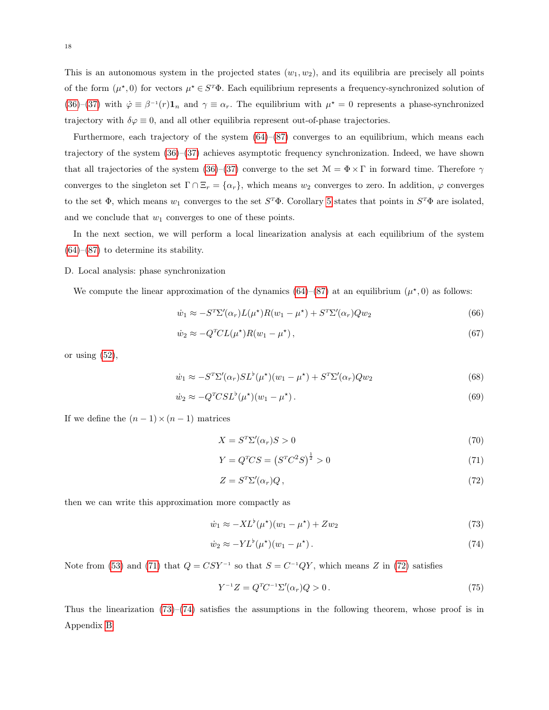This is an autonomous system in the projected states  $(w_1, w_2)$ , and its equilibria are precisely all points of the form  $(\mu^*,0)$  for vectors  $\mu^* \in S^T \Phi$ . Each equilibrium represents a frequency-synchronized solution of [\(36\)](#page-12-3)–[\(37\)](#page-12-4) with  $\dot{\varphi} \equiv \beta^{-1}(r) \mathbf{1}_n$  and  $\gamma \equiv \alpha_r$ . The equilibrium with  $\mu^* = 0$  represents a phase-synchronized trajectory with  $\delta\varphi \equiv 0$ , and all other equilibria represent out-of-phase trajectories.

Furthermore, each trajectory of the system  $(64)$ – $(87)$  converges to an equilibrium, which means each trajectory of the system [\(36\)](#page-12-3)–[\(37\)](#page-12-4) achieves asymptotic frequency synchronization. Indeed, we have shown that all trajectories of the system [\(36\)](#page-12-3)–[\(37\)](#page-12-4) converge to the set  $\mathcal{M} = \Phi \times \Gamma$  in forward time. Therefore  $\gamma$ converges to the singleton set  $\Gamma \cap \Xi_r = \{\alpha_r\}$ , which means  $w_2$  converges to zero. In addition,  $\varphi$  converges to the set  $\Phi$ , which means  $w_1$  converges to the set  $S^T\Phi$ . Corollary [5](#page-14-4) states that points in  $S^T\Phi$  are isolated, and we conclude that  $w_1$  converges to one of these points.

In the next section, we will perform a local linearization analysis at each equilibrium of the system  $(64)$ – $(87)$  to determine its stability.

# D. Local analysis: phase synchronization

We compute the linear approximation of the dynamics  $(64)$ – $(87)$  at an equilibrium  $(\mu^*,0)$  as follows:

$$
\dot{w}_1 \approx -S^T \Sigma'(\alpha_r) L(\mu^*) R(w_1 - \mu^*) + S^T \Sigma'(\alpha_r) Q w_2 \tag{66}
$$

$$
\dot{w}_2 \approx -Q^T CL(\mu^*)R(w_1 - \mu^*),\tag{67}
$$

or using  $(52)$ ,

$$
\dot{w}_1 \approx -S^T \Sigma'(\alpha_r) S L^{\flat}(\mu^{\star})(w_1 - \mu^{\star}) + S^T \Sigma'(\alpha_r) Q w_2 \tag{68}
$$

$$
\dot{w}_2 \approx -Q^T C S L^{\flat} (\mu^*) (w_1 - \mu^*) \,. \tag{69}
$$

If we define the  $(n-1) \times (n-1)$  matrices

$$
X = S^T \Sigma'(\alpha_r) S > 0 \tag{70}
$$

<span id="page-17-0"></span>
$$
Y = Q^T C S = (S^T C^2 S)^{\frac{1}{2}} > 0
$$
\n(71)

<span id="page-17-3"></span><span id="page-17-2"></span><span id="page-17-1"></span>
$$
Z = S^T \Sigma'(\alpha_r) Q \,, \tag{72}
$$

then we can write this approximation more compactly as

$$
\dot{w}_1 \approx -X L^{\flat}(\mu^*) (w_1 - \mu^*) + Z w_2 \tag{73}
$$

$$
\dot{w}_2 \approx -Y L^\flat(\mu^\star)(w_1 - \mu^\star). \tag{74}
$$

Note from [\(53\)](#page-15-1) and [\(71\)](#page-17-0) that  $Q = CSY^{-1}$  so that  $S = C^{-1}QY$ , which means Z in [\(72\)](#page-17-1) satisfies

$$
Y^{-1}Z = Q^T C^{-1} \Sigma'(\alpha_r) Q > 0.
$$
\n(75)

Thus the linearization  $(73)$ – $(74)$  satisfies the assumptions in the following theorem, whose proof is in Appendix [B:](#page-22-0)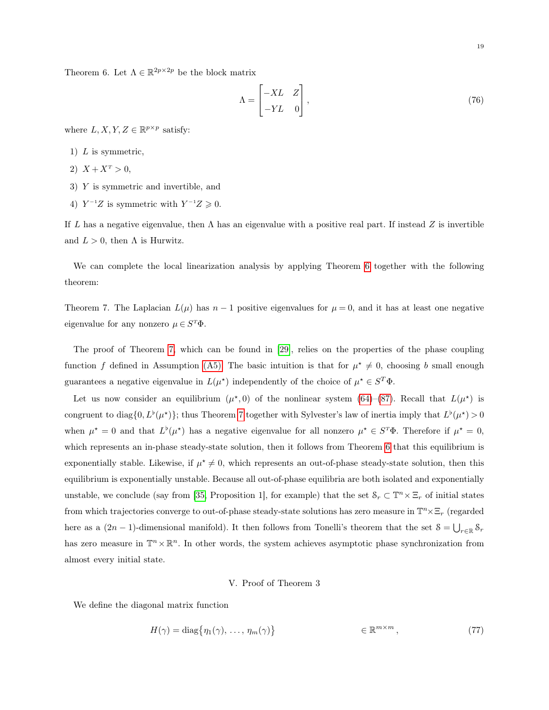<span id="page-18-1"></span>Theorem 6. Let  $\Lambda \in \mathbb{R}^{2p \times 2p}$  be the block matrix

$$
\Lambda = \begin{bmatrix} -XL & Z \\ -YL & 0 \end{bmatrix},\tag{76}
$$

where  $L, X, Y, Z \in \mathbb{R}^{p \times p}$  satisfy:

- 1)  $L$  is symmetric,
- 2)  $X + X^T > 0$ ,
- 3) Y is symmetric and invertible, and
- 4)  $Y^{-1}Z$  is symmetric with  $Y^{-1}Z \geq 0$ .

If L has a negative eigenvalue, then  $\Lambda$  has an eigenvalue with a positive real part. If instead Z is invertible and  $L > 0$ , then  $\Lambda$  is Hurwitz.

We can complete the local linearization analysis by applying Theorem [6](#page-18-1) together with the following theorem:

<span id="page-18-2"></span>Theorem 7. The Laplacian  $L(\mu)$  has  $n-1$  positive eigenvalues for  $\mu=0$ , and it has at least one negative eigenvalue for any nonzero  $\mu \in S^{\mathrm{T}}\Phi$ .

The proof of Theorem [7,](#page-18-2) which can be found in [\[29\]](#page-26-4), relies on the properties of the phase coupling function f defined in Assumption [\(A5\).](#page-7-6) The basic intuition is that for  $\mu^* \neq 0$ , choosing b small enough guarantees a negative eigenvalue in  $L(\mu^*)$  independently of the choice of  $\mu^* \in S^T \Phi$ .

Let us now consider an equilibrium  $(\mu^*,0)$  of the nonlinear system [\(64\)](#page-16-2)–[\(87\)](#page-20-0). Recall that  $L(\mu^*)$  is congruent to diag $\{0, L^{\flat}(\mu^*)\}$ ; thus Theorem [7](#page-18-2) together with Sylvester's law of inertia imply that  $L^{\flat}(\mu^*) > 0$ when  $\mu^* = 0$  and that  $L^{\flat}(\mu^*)$  has a negative eigenvalue for all nonzero  $\mu^* \in S^{\sf T}\Phi$ . Therefore if  $\mu^* = 0$ , which represents an in-phase steady-state solution, then it follows from Theorem [6](#page-18-1) that this equilibrium is exponentially stable. Likewise, if  $\mu^* \neq 0$ , which represents an out-of-phase steady-state solution, then this equilibrium is exponentially unstable. Because all out-of-phase equilibria are both isolated and exponentially unstable, we conclude (say from [\[35,](#page-26-10) Proposition 1], for example) that the set  $\mathcal{S}_r \subset \mathbb{T}^n \times \Xi_r$  of initial states from which trajectories converge to out-of-phase steady-state solutions has zero measure in  $\mathbb{T}^n \times \Xi_r$  (regarded here as a  $(2n-1)$ -dimensional manifold). It then follows from Tonelli's theorem that the set  $S = \bigcup_{r \in \mathbb{R}} S_r$ has zero measure in  $\mathbb{T}^n \times \mathbb{R}^n$ . In other words, the system achieves asymptotic phase synchronization from almost every initial state.

# V. Proof of Theorem 3

<span id="page-18-0"></span>We define the diagonal matrix function

$$
H(\gamma) = \text{diag}\{\eta_1(\gamma), \dots, \eta_m(\gamma)\}\qquad \in \mathbb{R}^{m \times m},\tag{77}
$$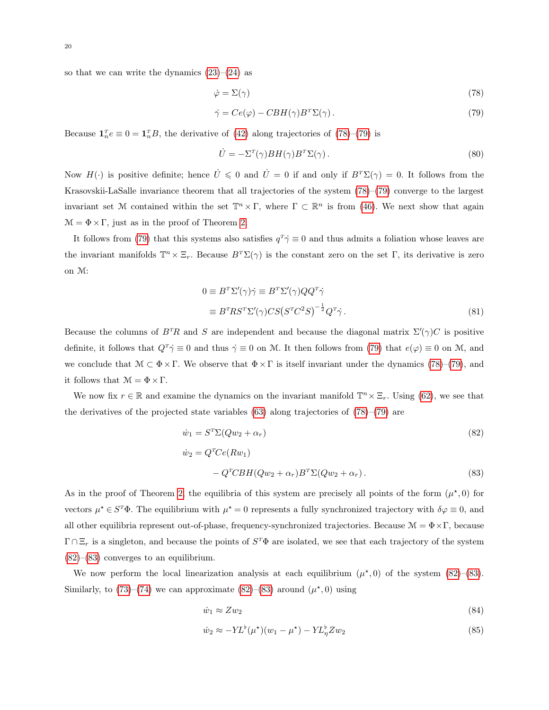so that we can write the dynamics  $(23)$ – $(24)$  as

<span id="page-19-1"></span><span id="page-19-0"></span>
$$
\dot{\varphi} = \Sigma(\gamma) \tag{78}
$$

$$
\dot{\gamma} = Ce(\varphi) - CBH(\gamma)B^T \Sigma(\gamma). \tag{79}
$$

Because  $\mathbf{1}_n^T e \equiv 0 = \mathbf{1}_n^T B$ , the derivative of [\(42\)](#page-13-2) along trajectories of [\(78\)](#page-19-0)–[\(79\)](#page-19-1) is

$$
\dot{U} = -\Sigma^T(\gamma)BH(\gamma)B^T\Sigma(\gamma).
$$
\n(80)

Now  $H(\cdot)$  is positive definite; hence  $\dot{U} \leq 0$  and  $\dot{U} = 0$  if and only if  $B^T \Sigma(\gamma) = 0$ . It follows from the Krasovskii-LaSalle invariance theorem that all trajectories of the system [\(78\)](#page-19-0)–[\(79\)](#page-19-1) converge to the largest invariant set M contained within the set  $\mathbb{T}^n \times \Gamma$ , where  $\Gamma \subset \mathbb{R}^n$  is from [\(46\)](#page-13-4). We next show that again  $\mathcal{M} = \Phi \times \Gamma$ , just as in the proof of Theorem [2.](#page-8-2)

It follows from [\(79\)](#page-19-1) that this systems also satisfies  $q^T \dot{\gamma} \equiv 0$  and thus admits a foliation whose leaves are the invariant manifolds  $\mathbb{T}^n \times \Xi_r$ . Because  $B^T \Sigma(\gamma)$  is the constant zero on the set Γ, its derivative is zero on M:

$$
0 \equiv B^T \Sigma'(\gamma) \dot{\gamma} \equiv B^T \Sigma'(\gamma) Q Q^T \dot{\gamma}
$$
  

$$
\equiv B^T R S^T \Sigma'(\gamma) C S (S^T C^2 S)^{-\frac{1}{2}} Q^T \dot{\gamma}.
$$
 (81)

Because the columns of  $B^{T}R$  and S are independent and because the diagonal matrix  $\Sigma'(\gamma)C$  is positive definite, it follows that  $Q^T\dot{\gamma} \equiv 0$  and thus  $\dot{\gamma} \equiv 0$  on M. It then follows from [\(79\)](#page-19-1) that  $e(\varphi) \equiv 0$  on M, and we conclude that  $\mathcal{M} \subset \Phi \times \Gamma$ . We observe that  $\Phi \times \Gamma$  is itself invariant under the dynamics [\(78\)](#page-19-0)–[\(79\)](#page-19-1), and it follows that  $\mathcal{M} = \Phi \times \Gamma$ .

We now fix  $r \in \mathbb{R}$  and examine the dynamics on the invariant manifold  $\mathbb{T}^n \times \Xi_r$ . Using [\(62\)](#page-16-1), we see that the derivatives of the projected state variables  $(63)$  along trajectories of  $(78)–(79)$  $(78)–(79)$  $(78)–(79)$  are

<span id="page-19-3"></span><span id="page-19-2"></span>
$$
\dot{w}_1 = S^T \Sigma (Q w_2 + \alpha_r) \tag{82}
$$
\n
$$
\dot{w}_2 = Q^T C e (R w_1) \tag{82}
$$
\n
$$
- Q^T C B H (Q w_2 + \alpha_r) B^T \Sigma (Q w_2 + \alpha_r) \tag{83}
$$

As in the proof of Theorem [2,](#page-8-2) the equilibria of this system are precisely all points of the form  $(\mu^*,0)$  for vectors  $\mu^* \in S^T \Phi$ . The equilibrium with  $\mu^* = 0$  represents a fully synchronized trajectory with  $\delta \varphi \equiv 0$ , and all other equilibria represent out-of-phase, frequency-synchronized trajectories. Because  $\mathcal{M} = \Phi \times \Gamma$ , because  $\Gamma \cap \Xi_r$  is a singleton, and because the points of  $S^T \Phi$  are isolated, we see that each trajectory of the system  $(82)$ – $(83)$  converges to an equilibrium.

We now perform the local linearization analysis at each equilibrium  $(\mu^*,0)$  of the system [\(82\)](#page-19-2)–[\(83\)](#page-19-3). Similarly, to  $(73)-(74)$  $(73)-(74)$  $(73)-(74)$  we can approximate  $(82)-(83)$  $(82)-(83)$  $(82)-(83)$  around  $(\mu^*,0)$  using

<span id="page-19-5"></span><span id="page-19-4"></span>
$$
\dot{w}_1 \approx Z w_2 \tag{84}
$$

$$
\dot{w}_2 \approx -Y L^{\flat}(\mu^{\star})(w_1 - \mu^{\star}) - Y L_{\eta}^{\flat} Z w_2 \tag{85}
$$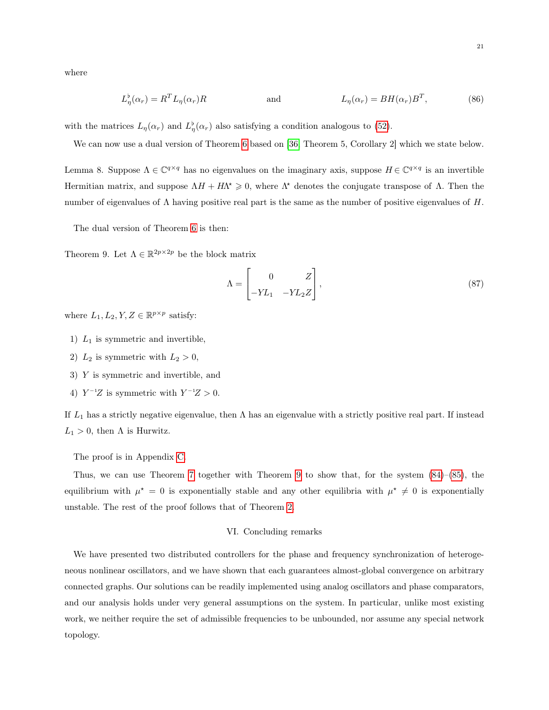where

$$
L_{\eta}^{\flat}(\alpha_r) = R^T L_{\eta}(\alpha_r) R \qquad \text{and} \qquad L_{\eta}(\alpha_r) = BH(\alpha_r) B^T, \qquad (86)
$$

with the matrices  $L_{\eta}(\alpha_r)$  and  $L_{\eta}^{\flat}(\alpha_r)$  also satisfying a condition analogous to [\(52\)](#page-14-5).

We can now use a dual version of Theorem [6](#page-18-1) based on [\[36,](#page-26-11) Theorem 5, Corollary 2] which we state below.

<span id="page-20-2"></span>Lemma 8. Suppose  $\Lambda \in \mathbb{C}^{q \times q}$  has no eigenvalues on the imaginary axis, suppose  $H \in \mathbb{C}^{q \times q}$  is an invertible Hermitian matrix, and suppose  $\Lambda H + H\Lambda^* \geq 0$ , where  $\Lambda^*$  denotes the conjugate transpose of  $\Lambda$ . Then the number of eigenvalues of  $\Lambda$  having positive real part is the same as the number of positive eigenvalues of H.

The dual version of Theorem [6](#page-18-1) is then:

<span id="page-20-1"></span>Theorem 9. Let  $\Lambda \in \mathbb{R}^{2p \times 2p}$  be the block matrix

<span id="page-20-0"></span>
$$
\Lambda = \begin{bmatrix} 0 & Z \\ -YL_1 & -YL_2Z \end{bmatrix},\tag{87}
$$

where  $L_1, L_2, Y, Z \in \mathbb{R}^{p \times p}$  satisfy:

- 1)  $L_1$  is symmetric and invertible,
- 2)  $L_2$  is symmetric with  $L_2 > 0$ ,
- 3) Y is symmetric and invertible, and
- 4)  $Y^{-1}Z$  is symmetric with  $Y^{-1}Z > 0$ .

If  $L_1$  has a strictly negative eigenvalue, then  $\Lambda$  has an eigenvalue with a strictly positive real part. If instead  $L_1 > 0$ , then  $\Lambda$  is Hurwitz.

The proof is in Appendix [C.](#page-23-0)

Thus, we can use Theorem [7](#page-18-2) together with Theorem [9](#page-20-1) to show that, for the system [\(84\)](#page-19-4)–[\(85\)](#page-19-5), the equilibrium with  $\mu^* = 0$  is exponentially stable and any other equilibria with  $\mu^* \neq 0$  is exponentially unstable. The rest of the proof follows that of Theorem [2.](#page-8-2)

# VI. Concluding remarks

We have presented two distributed controllers for the phase and frequency synchronization of heterogeneous nonlinear oscillators, and we have shown that each guarantees almost-global convergence on arbitrary connected graphs. Our solutions can be readily implemented using analog oscillators and phase comparators, and our analysis holds under very general assumptions on the system. In particular, unlike most existing work, we neither require the set of admissible frequencies to be unbounded, nor assume any special network topology.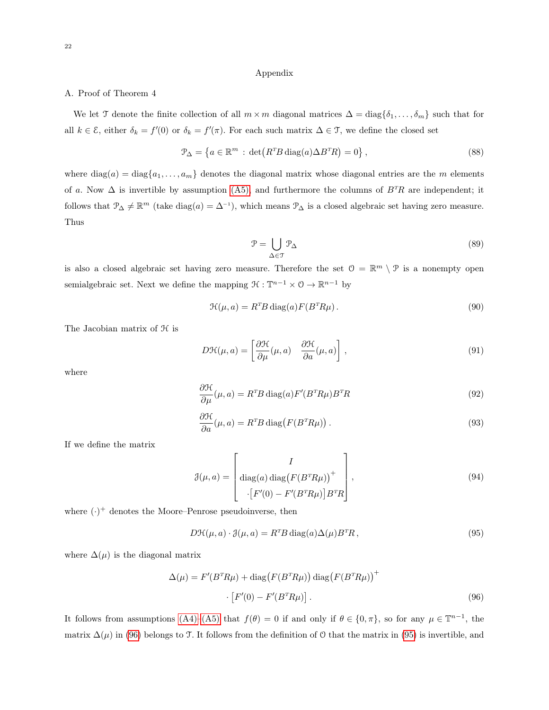# Appendix

# <span id="page-21-0"></span>A. Proof of Theorem 4

We let T denote the finite collection of all  $m \times m$  diagonal matrices  $\Delta = \text{diag}\{\delta_1, \ldots, \delta_m\}$  such that for all  $k \in \mathcal{E}$ , either  $\delta_k = f'(0)$  or  $\delta_k = f'(\pi)$ . For each such matrix  $\Delta \in \mathcal{T}$ , we define the closed set

$$
\mathcal{P}_{\Delta} = \left\{ a \in \mathbb{R}^m : \det(R^T B \operatorname{diag}(a) \Delta B^T R) = 0 \right\},\tag{88}
$$

where  $diag(a) = diag{a_1, \ldots, a_m}$  denotes the diagonal matrix whose diagonal entries are the m elements of a. Now  $\Delta$  is invertible by assumption [\(A5\),](#page-7-6) and furthermore the columns of  $B^T R$  are independent; it follows that  $\mathcal{P}_{\Delta} \neq \mathbb{R}^m$  (take diag(a) =  $\Delta^{-1}$ ), which means  $\mathcal{P}_{\Delta}$  is a closed algebraic set having zero measure. Thus

<span id="page-21-3"></span>
$$
\mathcal{P} = \bigcup_{\Delta \in \mathcal{T}} \mathcal{P}_{\Delta} \tag{89}
$$

is also a closed algebraic set having zero measure. Therefore the set  $\mathcal{O} = \mathbb{R}^m \setminus \mathcal{P}$  is a nonempty open semialgebraic set. Next we define the mapping  $\mathcal{H}: \mathbb{T}^{n-1} \times \mathcal{O} \to \mathbb{R}^{n-1}$  by

$$
\mathcal{H}(\mu, a) = R^T B \operatorname{diag}(a) F(B^T R \mu). \tag{90}
$$

The Jacobian matrix of  $H$  is

$$
D\mathcal{H}(\mu, a) = \left[\frac{\partial \mathcal{H}}{\partial \mu}(\mu, a) \quad \frac{\partial \mathcal{H}}{\partial a}(\mu, a)\right],\tag{91}
$$

where

$$
\frac{\partial \mathcal{H}}{\partial \mu}(\mu, a) = R^T B \operatorname{diag}(a) F'(B^T R \mu) B^T R \tag{92}
$$

$$
\frac{\partial \mathcal{H}}{\partial a}(\mu, a) = R^T B \operatorname{diag}\left(F(B^T R \mu)\right). \tag{93}
$$

If we define the matrix

$$
\mathcal{J}(\mu, a) = \begin{bmatrix} I \\ \text{diag}(a) \text{ diag}(F(B^T R \mu))^+ \\ \cdot [F'(0) - F'(B^T R \mu)] B^T R \end{bmatrix},
$$
\n(94)

where  $(\cdot)^+$  denotes the Moore–Penrose pseudoinverse, then

<span id="page-21-2"></span><span id="page-21-1"></span>
$$
D\mathcal{H}(\mu, a) \cdot \mathcal{J}(\mu, a) = R^T B \operatorname{diag}(a) \Delta(\mu) B^T R, \qquad (95)
$$

where  $\Delta(\mu)$  is the diagonal matrix

$$
\Delta(\mu) = F'(B^T R \mu) + \text{diag}(F(B^T R \mu)) \text{diag}(F(B^T R \mu))^+
$$

$$
\cdot [F'(0) - F'(B^T R \mu)]. \tag{96}
$$

It follows from assumptions  $(A4)$ – $(A5)$  that  $f(\theta) = 0$  if and only if  $\theta \in \{0, \pi\}$ , so for any  $\mu \in \mathbb{T}^{n-1}$ , the matrix  $\Delta(\mu)$  in [\(96\)](#page-21-1) belongs to T. It follows from the definition of O that the matrix in [\(95\)](#page-21-2) is invertible, and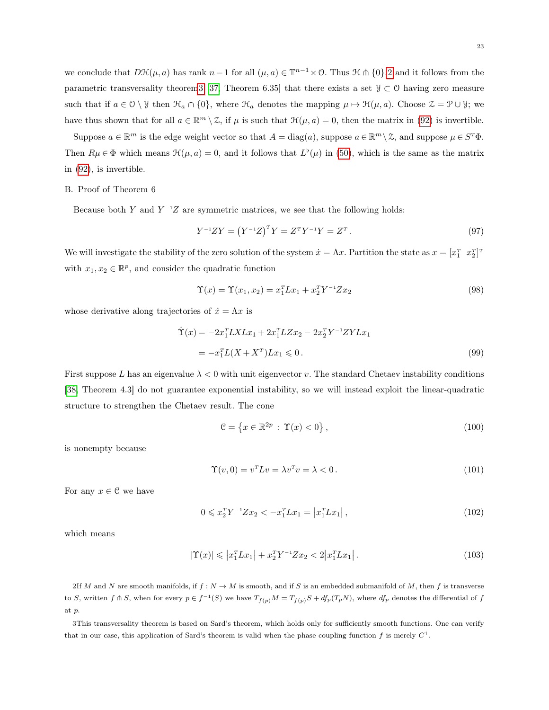we conclude that  $D\mathcal{H}(\mu, a)$  has rank  $n-1$  for all  $(\mu, a) \in \mathbb{T}^{n-1} \times \mathcal{O}$ . Thus  $\mathcal{H} \cap \{0\}$ , 2 and it follows from the parametric transversality theorem 3 [\[37,](#page-26-12) Theorem 6.35] that there exists a set  $\mathcal{Y} \subset \mathcal{O}$  having zero measure such that if  $a \in \mathcal{O} \setminus \mathcal{Y}$  then  $\mathcal{H}_a \pitchfork \{0\}$ , where  $\mathcal{H}_a$  denotes the mapping  $\mu \mapsto \mathcal{H}(\mu, a)$ . Choose  $\mathcal{Z} = \mathcal{P} \cup \mathcal{Y}$ ; we have thus shown that for all  $a \in \mathbb{R}^m \setminus \mathcal{Z}$ , if  $\mu$  is such that  $\mathcal{H}(\mu, a) = 0$ , then the matrix in [\(92\)](#page-21-3) is invertible.

Suppose  $a \in \mathbb{R}^m$  is the edge weight vector so that  $A = \text{diag}(a)$ , suppose  $a \in \mathbb{R}^m \setminus \mathcal{Z}$ , and suppose  $\mu \in S^T \Phi$ . Then  $R\mu \in \Phi$  which means  $\mathcal{H}(\mu, a) = 0$ , and it follows that  $L^{\flat}(\mu)$  in [\(50\)](#page-14-1), which is the same as the matrix in [\(92\)](#page-21-3), is invertible.

## <span id="page-22-0"></span>B. Proof of Theorem 6

Because both Y and  $Y^{-1}Z$  are symmetric matrices, we see that the following holds:

$$
Y^{-1}ZY = (Y^{-1}Z)^T Y = Z^T Y^{-1} Y = Z^T.
$$
\n(97)

We will investigate the stability of the zero solution of the system  $\dot{x} = \Lambda x$ . Partition the state as  $x = [x_1^T \ x_2^T]^T$ with  $x_1, x_2 \in \mathbb{R}^p$ , and consider the quadratic function

$$
\Upsilon(x) = \Upsilon(x_1, x_2) = x_1^T L x_1 + x_2^T Y^{-1} Z x_2 \tag{98}
$$

whose derivative along trajectories of  $\dot{x} = \Lambda x$  is

$$
\dot{\Upsilon}(x) = -2x_1^T L X L x_1 + 2x_1^T L Z x_2 - 2x_2^T Y^{-1} Z Y L x_1
$$
  
=  $-x_1^T L (X + X^T) L x_1 \leq 0.$  (99)

First suppose L has an eigenvalue  $\lambda < 0$  with unit eigenvector v. The standard Chetaev instability conditions [\[38,](#page-26-13) Theorem 4.3] do not guarantee exponential instability, so we will instead exploit the linear-quadratic structure to strengthen the Chetaev result. The cone

$$
\mathcal{C} = \left\{ x \in \mathbb{R}^{2p} : \Upsilon(x) < 0 \right\},\tag{100}
$$

is nonempty because

$$
\Upsilon(v,0) = v^T L v = \lambda v^T v = \lambda < 0. \tag{101}
$$

For any  $x \in \mathcal{C}$  we have

$$
0 \leqslant x_2^T Y^{-1} Z x_2 < -x_1^T L x_1 = \left| x_1^T L x_1 \right|,\tag{102}
$$

which means

$$
|\Upsilon(x)| \leq |x_1^T L x_1| + x_2^T Y^{-1} Z x_2 < 2 |x_1^T L x_1|.
$$
\n(103)

<span id="page-22-1"></span>2If M and N are smooth manifolds, if  $f : N \to M$  is smooth, and if S is an embedded submanifold of M, then f is transverse to S, written  $f \pitchfork S$ , when for every  $p \in f^{-1}(S)$  we have  $T_{f(p)}M = T_{f(p)}S + df_p(T_pN)$ , where  $df_p$  denotes the differential of  $f$ at p.

<span id="page-22-2"></span>3This transversality theorem is based on Sard's theorem, which holds only for sufficiently smooth functions. One can verify that in our case, this application of Sard's theorem is valid when the phase coupling function f is merely  $C^1$ .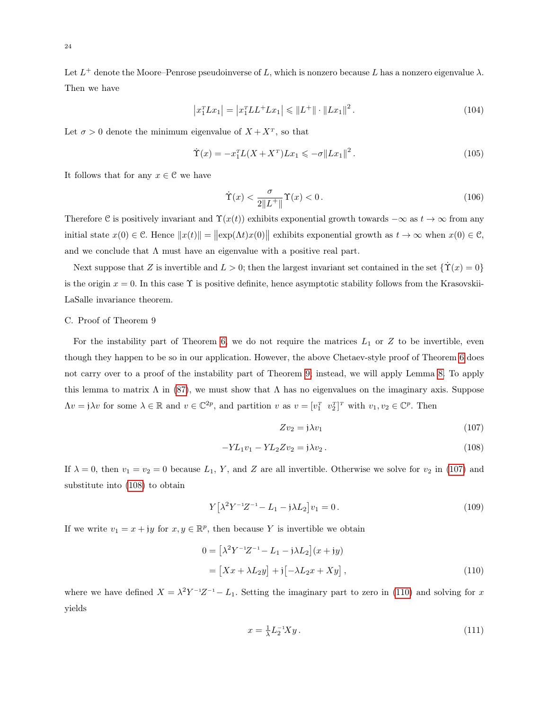Let  $L^+$  denote the Moore–Penrose pseudoinverse of L, which is nonzero because L has a nonzero eigenvalue  $\lambda$ . Then we have

$$
\left| x_1^T L x_1 \right| = \left| x_1^T L L^+ L x_1 \right| \leq \| L^+ \| \cdot \| L x_1 \|^2. \tag{104}
$$

Let  $\sigma > 0$  denote the minimum eigenvalue of  $X + X^T$ , so that

$$
\dot{\Upsilon}(x) = -x_1^T L(X + X^T) L x_1 \leqslant -\sigma \| L x_1 \|^2. \tag{105}
$$

It follows that for any  $x \in \mathcal{C}$  we have

$$
\dot{\Upsilon}(x) < \frac{\sigma}{2\|L^+\|} \Upsilon(x) < 0 \,. \tag{106}
$$

Therefore C is positively invariant and  $\Upsilon(x(t))$  exhibits exponential growth towards  $-\infty$  as  $t \to \infty$  from any initial state  $x(0) \in \mathcal{C}$ . Hence  $||x(t)|| = ||\exp(\Lambda t)x(0)||$  exhibits exponential growth as  $t \to \infty$  when  $x(0) \in \mathcal{C}$ , and we conclude that  $\Lambda$  must have an eigenvalue with a positive real part.

Next suppose that Z is invertible and  $L > 0$ ; then the largest invariant set contained in the set  $\{\Upsilon(x) = 0\}$ is the origin  $x = 0$ . In this case  $\Upsilon$  is positive definite, hence asymptotic stability follows from the Krasovskii-LaSalle invariance theorem.

# <span id="page-23-0"></span>C. Proof of Theorem 9

For the instability part of Theorem [6,](#page-18-1) we do not require the matrices  $L_1$  or  $Z$  to be invertible, even though they happen to be so in our application. However, the above Chetaev-style proof of Theorem [6](#page-18-1) does not carry over to a proof of the instability part of Theorem [9;](#page-20-1) instead, we will apply Lemma [8.](#page-20-2) To apply this lemma to matrix  $\Lambda$  in [\(87\)](#page-20-0), we must show that  $\Lambda$  has no eigenvalues on the imaginary axis. Suppose  $\Lambda v = \mathfrak{j} \lambda v$  for some  $\lambda \in \mathbb{R}$  and  $v \in \mathbb{C}^{2p}$ , and partition v as  $v = [v_1^T \ v_2^T]^T$  with  $v_1, v_2 \in \mathbb{C}^p$ . Then

<span id="page-23-3"></span><span id="page-23-2"></span><span id="page-23-1"></span>
$$
Zv_2 = \mathfrak{j}\lambda v_1\tag{107}
$$

$$
-YL_1v_1 - YL_2Zv_2 = j\lambda v_2.
$$
\n(108)

If  $\lambda = 0$ , then  $v_1 = v_2 = 0$  because  $L_1$ , Y, and Z are all invertible. Otherwise we solve for  $v_2$  in [\(107\)](#page-23-1) and substitute into [\(108\)](#page-23-2) to obtain

$$
Y[\lambda^2 Y^{-1} Z^{-1} - L_1 - j\lambda L_2] v_1 = 0.
$$
\n(109)

If we write  $v_1 = x + jy$  for  $x, y \in \mathbb{R}^p$ , then because Y is invertible we obtain

$$
0 = \left[\lambda^2 Y^{-1} Z^{-1} - L_1 - \mathfrak{j} \lambda L_2\right](x + \mathfrak{j}y)
$$

$$
= \left[Xx + \lambda L_2 y\right] + \mathfrak{j}\left[-\lambda L_2 x + X y\right],\tag{110}
$$

where we have defined  $X = \lambda^2 Y^{-1}Z^{-1} - L_1$ . Setting the imaginary part to zero in [\(110\)](#page-23-3) and solving for x yields

<span id="page-23-4"></span>
$$
x = \frac{1}{\lambda} L_2^{-1} X y. \tag{111}
$$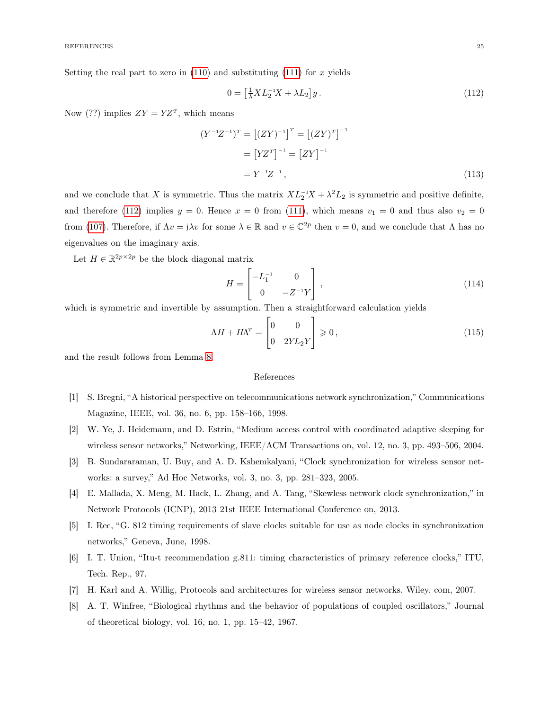Setting the real part to zero in  $(110)$  and substituting  $(111)$  for x yields

<span id="page-24-8"></span>
$$
0 = \left[\frac{1}{\lambda}X L_2^{-1}X + \lambda L_2\right]y. \tag{112}
$$

Now (??) implies  $ZY = YZ^T$ , which means

$$
(Y^{-1}Z^{-1})^T = [(ZY)^{-1}]^T = [(ZY)^T]^{-1}
$$

$$
= [YZ^T]^{-1} = [ZY]^{-1}
$$

$$
= Y^{-1}Z^{-1}, \qquad (113)
$$

and we conclude that X is symmetric. Thus the matrix  $XL_2^{-1}X + \lambda^2 L_2$  is symmetric and positive definite, and therefore [\(112\)](#page-24-8) implies  $y = 0$ . Hence  $x = 0$  from [\(111\)](#page-23-4), which means  $v_1 = 0$  and thus also  $v_2 = 0$ from [\(107\)](#page-23-1). Therefore, if  $\Lambda v = \mathfrak{j} \lambda v$  for some  $\lambda \in \mathbb{R}$  and  $v \in \mathbb{C}^{2p}$  then  $v = 0$ , and we conclude that  $\Lambda$  has no eigenvalues on the imaginary axis.

Let  $H \in \mathbb{R}^{2p \times 2p}$  be the block diagonal matrix

$$
H = \begin{bmatrix} -L_1^{-1} & 0\\ 0 & -Z^{-1}Y \end{bmatrix},
$$
\n(114)

which is symmetric and invertible by assumption. Then a straightforward calculation yields

$$
\Lambda H + H\Lambda^T = \begin{bmatrix} 0 & 0\\ 0 & 2YL_2Y \end{bmatrix} \geqslant 0, \tag{115}
$$

and the result follows from Lemma [8.](#page-20-2)

# References

- <span id="page-24-0"></span>[1] S. Bregni, "A historical perspective on telecommunications network synchronization," Communications Magazine, IEEE, vol. 36, no. 6, pp. 158–166, 1998.
- <span id="page-24-1"></span>[2] W. Ye, J. Heidemann, and D. Estrin, "Medium access control with coordinated adaptive sleeping for wireless sensor networks," Networking, IEEE/ACM Transactions on, vol. 12, no. 3, pp. 493–506, 2004.
- <span id="page-24-2"></span>[3] B. Sundararaman, U. Buy, and A. D. Kshemkalyani, "Clock synchronization for wireless sensor networks: a survey," Ad Hoc Networks, vol. 3, no. 3, pp. 281–323, 2005.
- <span id="page-24-3"></span>[4] E. Mallada, X. Meng, M. Hack, L. Zhang, and A. Tang, "Skewless network clock synchronization," in Network Protocols (ICNP), 2013 21st IEEE International Conference on, 2013.
- <span id="page-24-4"></span>[5] I. Rec, "G. 812 timing requirements of slave clocks suitable for use as node clocks in synchronization networks," Geneva, June, 1998.
- <span id="page-24-5"></span>[6] I. T. Union, "Itu-t recommendation g.811: timing characteristics of primary reference clocks," ITU, Tech. Rep., 97.
- <span id="page-24-6"></span>[7] H. Karl and A. Willig, Protocols and architectures for wireless sensor networks. Wiley. com, 2007.
- <span id="page-24-7"></span>[8] A. T. Winfree, "Biological rhythms and the behavior of populations of coupled oscillators," Journal of theoretical biology, vol. 16, no. 1, pp. 15–42, 1967.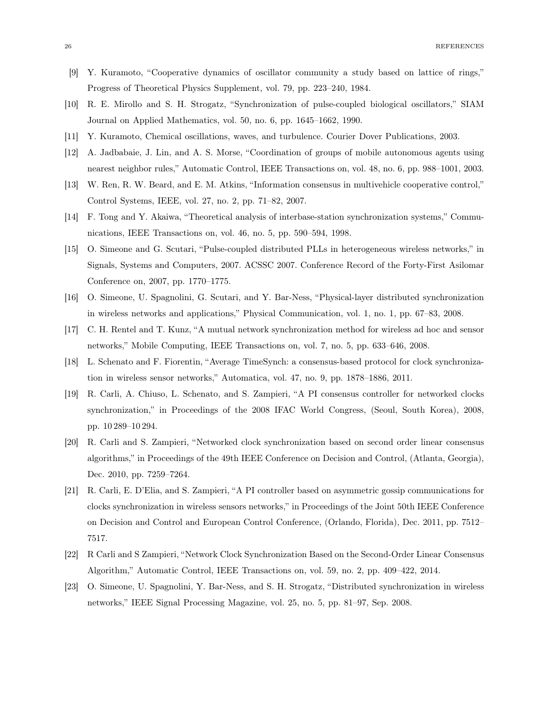- [9] Y. Kuramoto, "Cooperative dynamics of oscillator community a study based on lattice of rings," Progress of Theoretical Physics Supplement, vol. 79, pp. 223–240, 1984.
- [10] R. E. Mirollo and S. H. Strogatz, "Synchronization of pulse-coupled biological oscillators," SIAM Journal on Applied Mathematics, vol. 50, no. 6, pp. 1645–1662, 1990.
- <span id="page-25-0"></span>[11] Y. Kuramoto, Chemical oscillations, waves, and turbulence. Courier Dover Publications, 2003.
- <span id="page-25-1"></span>[12] A. Jadbabaie, J. Lin, and A. S. Morse, "Coordination of groups of mobile autonomous agents using nearest neighbor rules," Automatic Control, IEEE Transactions on, vol. 48, no. 6, pp. 988–1001, 2003.
- <span id="page-25-2"></span>[13] W. Ren, R. W. Beard, and E. M. Atkins, "Information consensus in multivehicle cooperative control," Control Systems, IEEE, vol. 27, no. 2, pp. 71–82, 2007.
- <span id="page-25-3"></span>[14] F. Tong and Y. Akaiwa, "Theoretical analysis of interbase-station synchronization systems," Communications, IEEE Transactions on, vol. 46, no. 5, pp. 590–594, 1998.
- [15] O. Simeone and G. Scutari, "Pulse-coupled distributed PLLs in heterogeneous wireless networks," in Signals, Systems and Computers, 2007. ACSSC 2007. Conference Record of the Forty-First Asilomar Conference on, 2007, pp. 1770–1775.
- [16] O. Simeone, U. Spagnolini, G. Scutari, and Y. Bar-Ness, "Physical-layer distributed synchronization in wireless networks and applications," Physical Communication, vol. 1, no. 1, pp. 67–83, 2008.
- [17] C. H. Rentel and T. Kunz, "A mutual network synchronization method for wireless ad hoc and sensor networks," Mobile Computing, IEEE Transactions on, vol. 7, no. 5, pp. 633–646, 2008.
- [18] L. Schenato and F. Fiorentin, "Average TimeSynch: a consensus-based protocol for clock synchronization in wireless sensor networks," Automatica, vol. 47, no. 9, pp. 1878–1886, 2011.
- <span id="page-25-6"></span>[19] R. Carli, A. Chiuso, L. Schenato, and S. Zampieri, "A PI consensus controller for networked clocks synchronization," in Proceedings of the 2008 IFAC World Congress, (Seoul, South Korea), 2008, pp. 10 289–10 294.
- [20] R. Carli and S. Zampieri, "Networked clock synchronization based on second order linear consensus algorithms," in Proceedings of the 49th IEEE Conference on Decision and Control, (Atlanta, Georgia), Dec. 2010, pp. 7259–7264.
- <span id="page-25-7"></span>[21] R. Carli, E. D'Elia, and S. Zampieri, "A PI controller based on asymmetric gossip communications for clocks synchronization in wireless sensors networks," in Proceedings of the Joint 50th IEEE Conference on Decision and Control and European Control Conference, (Orlando, Florida), Dec. 2011, pp. 7512– 7517.
- <span id="page-25-4"></span>[22] R Carli and S Zampieri, "Network Clock Synchronization Based on the Second-Order Linear Consensus Algorithm," Automatic Control, IEEE Transactions on, vol. 59, no. 2, pp. 409–422, 2014.
- <span id="page-25-5"></span>[23] O. Simeone, U. Spagnolini, Y. Bar-Ness, and S. H. Strogatz, "Distributed synchronization in wireless networks," IEEE Signal Processing Magazine, vol. 25, no. 5, pp. 81–97, Sep. 2008.